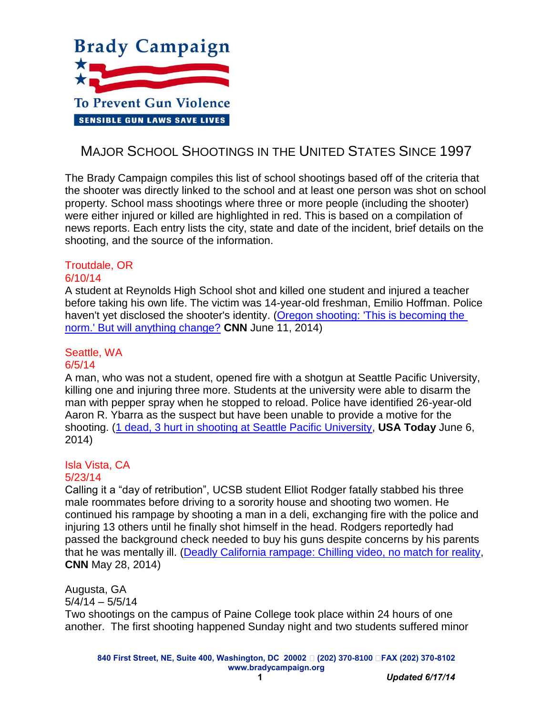

# MAJOR SCHOOL SHOOTINGS IN THE UNITED STATES SINCE 1997

The Brady Campaign compiles this list of school shootings based off of the criteria that the shooter was directly linked to the school and at least one person was shot on school property. School mass shootings where three or more people (including the shooter) were either injured or killed are highlighted in red. This is based on a compilation of news reports. Each entry lists the city, state and date of the incident, brief details on the shooting, and the source of the information.

# Troutdale, OR

#### 6/10/14

A student at Reynolds High School shot and killed one student and injured a teacher before taking his own life. The victim was 14-year-old freshman, Emilio Hoffman. Police haven't yet disclosed the shooter's identity. [\(Oregon shooting: 'This is becoming the](http://www.cnn.com/2014/06/11/justice/oregon-high-school-shooting/)  [norm.' But will anything change?](http://www.cnn.com/2014/06/11/justice/oregon-high-school-shooting/) **CNN** June 11, 2014)

# Seattle, WA

### 6/5/14

A man, who was not a student, opened fire with a shotgun at Seattle Pacific University, killing one and injuring three more. Students at the university were able to disarm the man with pepper spray when he stopped to reload. Police have identified 26-year-old Aaron R. Ybarra as the suspect but have been unable to provide a motive for the shooting. [\(1 dead, 3 hurt in shooting at Seattle Pacific University,](http://www.usatoday.com/story/news/nation/2014/06/05/seattle-pacific-university-shooting/10036997/) **USA Today** June 6, 2014)

# Isla Vista, CA

#### 5/23/14

Calling it a "day of retribution", UCSB student Elliot Rodger fatally stabbed his three male roommates before driving to a sorority house and shooting two women. He continued his rampage by shooting a man in a deli, exchanging fire with the police and injuring 13 others until he finally shot himself in the head. Rodgers reportedly had passed the background check needed to buy his guns despite concerns by his parents that he was mentally ill. [\(Deadly California rampage: Chilling video, no match for reality,](http://www.cnn.com/2014/05/24/justice/california-shooting-deaths/) **CNN** May 28, 2014)

Augusta, GA

 $5/4/14 - 5/5/14$ 

Two shootings on the campus of Paine College took place within 24 hours of one another. The first shooting happened Sunday night and two students suffered minor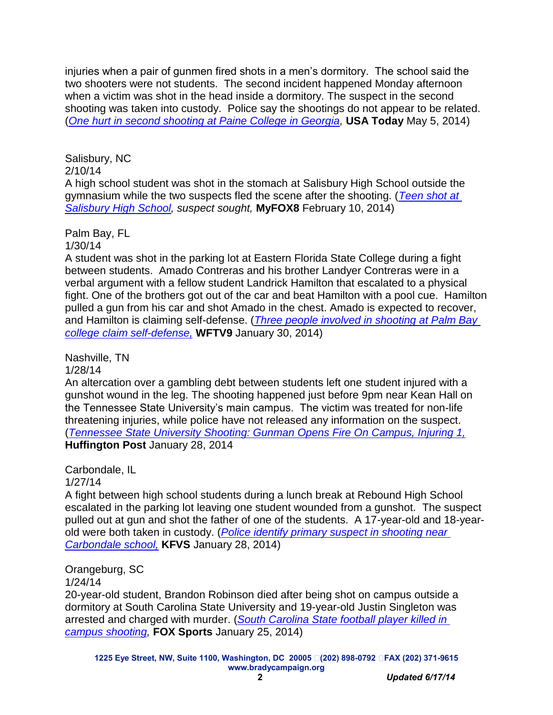injuries when a pair of gunmen fired shots in a men's dormitory. The school said the two shooters were not students. The second incident happened Monday afternoon when a victim was shot in the head inside a dormitory. The suspect in the second shooting was taken into custody. Police say the shootings do not appear to be related. (*[One hurt in second shooting at Paine College in Georgia,](http://www.usatoday.com/story/news/nation/2014/05/05/shooting-paine-college/8730321/)* **USA Today** May 5, 2014)

Salisbury, NC 2/10/14 A high school student was shot in the stomach at Salisbury High School outside the gymnasium while the two suspects fled the scene after the shooting. (*[Teen shot at](http://myfox8.com/2014/02/10/teen-shot-at-salisbury-high-school/)  [Salisbury High School,](http://myfox8.com/2014/02/10/teen-shot-at-salisbury-high-school/) suspect sought,* **MyFOX8** February 10, 2014)

Palm Bay, FL 1/30/14

A student was shot in the parking lot at Eastern Florida State College during a fight between students. Amado Contreras and his brother Landyer Contreras were in a verbal argument with a fellow student Landrick Hamilton that escalated to a physical fight. One of the brothers got out of the car and beat Hamilton with a pool cue. Hamilton pulled a gun from his car and shot Amado in the chest. Amado is expected to recover, and Hamilton is claiming self-defense. (*[Three people involved in shooting at Palm Bay](http://www.wftv.com/news/news/local/officials-1-shot-eastern-florida-state-college-pal/nc7Ty/)  [college claim self-defense,](http://www.wftv.com/news/news/local/officials-1-shot-eastern-florida-state-college-pal/nc7Ty/)* **WFTV9** January 30, 2014)

Nashville, TN

1/28/14

An altercation over a gambling debt between students left one student injured with a gunshot wound in the leg. The shooting happened just before 9pm near Kean Hall on the Tennessee State University's main campus. The victim was treated for non-life threatening injuries, while police have not released any information on the suspect. (*[Tennessee State University Shooting: Gunman Opens Fire On Campus, Injuring 1,](http://www.huffingtonpost.com/2014/01/28/tennessee-state-university-shooting_n_4684702.html)* **Huffington Post** January 28, 2014

Carbondale, IL

1/27/14

A fight between high school students during a lunch break at Rebound High School escalated in the parking lot leaving one student wounded from a gunshot. The suspect pulled out at gun and shot the father of one of the students. A 17-year-old and 18-yearold were both taken in custody. (*Police [identify primary suspect in shooting near](http://www.kfvs12.com/story/24557239/police-investigate-report-of-shot-fired-at-carbondale-school)  [Carbondale school,](http://www.kfvs12.com/story/24557239/police-investigate-report-of-shot-fired-at-carbondale-school)* **KFVS** January 28, 2014)

Orangeburg, SC

1/24/14

20-year-old student, Brandon Robinson died after being shot on campus outside a dormitory at South Carolina State University and 19-year-old Justin Singleton was arrested and charged with murder. (*[South Carolina State football](http://msn.foxsports.com/college-football/story/south-carolina-state-football-player-killed-in-campus-shooting-012414) player killed in [campus shooting,](http://msn.foxsports.com/college-football/story/south-carolina-state-football-player-killed-in-campus-shooting-012414)* **FOX Sports** January 25, 2014)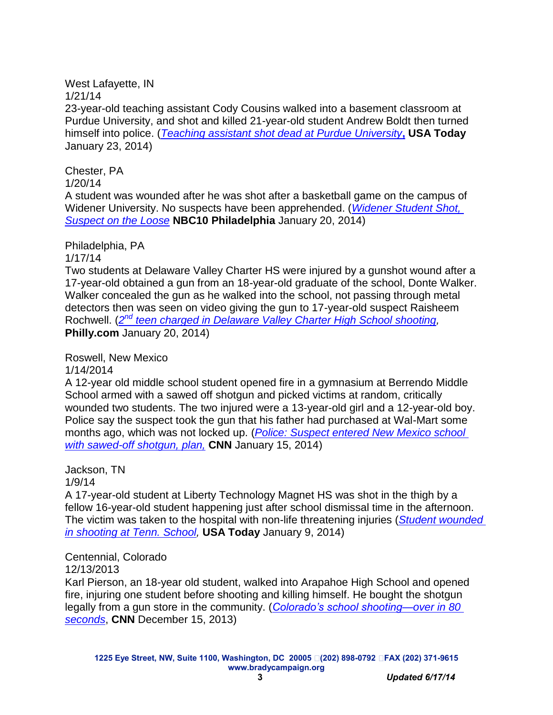West Lafayette, IN

1/21/14

23-year-old teaching assistant Cody Cousins walked into a basement classroom at Purdue University, and shot and killed 21-year-old student Andrew Boldt then turned himself into police. (*Teaching assistant [shot dead at Purdue University](http://www.usatoday.com/story/news/nation/2014/01/21/purdue-shooting/4719831/)***, USA Today** January 23, 2014)

Chester, PA

1/20/14

A student was wounded after he was shot after a basketball game on the campus of Widener University. No suspects have been apprehended. (*[Widener Student Shot,](http://www.nbcphiladelphia.com/news/local/Shots-Fired-at-Widener-University-241223681.html)  [Suspect on the Loose](http://www.nbcphiladelphia.com/news/local/Shots-Fired-at-Widener-University-241223681.html)* **NBC10 Philadelphia** January 20, 2014)

Philadelphia, PA

1/17/14

Two students at Delaware Valley Charter HS were injured by a gunshot wound after a 17-year-old obtained a gun from an 18-year-old graduate of the school, Donte Walker. Walker concealed the gun as he walked into the school, not passing through metal detectors then was seen on video giving the gun to 17-year-old suspect Raisheem Rochwell. (*2 nd [teen charged in Delaware Valley](http://www.philly.com/philly/news/2nd_teen_charged_in_Delaware_Valley_Charter_High_School_shooting.html) Charter High School shooting,* **Philly.com** January 20, 2014)

Roswell, New Mexico

1/14/2014

A 12-year old middle school student opened fire in a gymnasium at Berrendo Middle School armed with a sawed off shotgun and picked victims at random, critically wounded two students. The two injured were a 13-year-old girl and a 12-year-old boy. Police say the suspect took the gun that his father had purchased at Wal-Mart some months ago, which was not locked up. (*[Police: Suspect entered New Mexico school](http://www.cnn.com/2014/01/15/justice/new-mexico-school-shooting/)  [with sawed-off shotgun, plan,](http://www.cnn.com/2014/01/15/justice/new-mexico-school-shooting/)* **CNN** January 15, 2014)

Jackson, TN

1/9/14

A 17-year-old student at Liberty Technology Magnet HS was shot in the thigh by a fellow 16-year-old student happening just after school dismissal time in the afternoon. The victim was taken to the hospital with non-life threatening injuries (*[Student wounded](http://www.cnn.com/2014/01/15/justice/new-mexico-school-shooting/)  [in shooting at Tenn.](http://www.cnn.com/2014/01/15/justice/new-mexico-school-shooting/) School,* **USA Today** January 9, 2014)

### Centennial, Colorado

12/13/2013

Karl Pierson, an 18-year old student, walked into Arapahoe High School and opened fire, injuring one student before shooting and killing himself. He bought the shotgun legally from a gun store in the community. (*[Colorado's school shooting—over in 80](http://www.cnn.com/2013/12/14/us/colorado-school-shooting/)  [seconds](http://www.cnn.com/2013/12/14/us/colorado-school-shooting/)*, **CNN** December 15, 2013)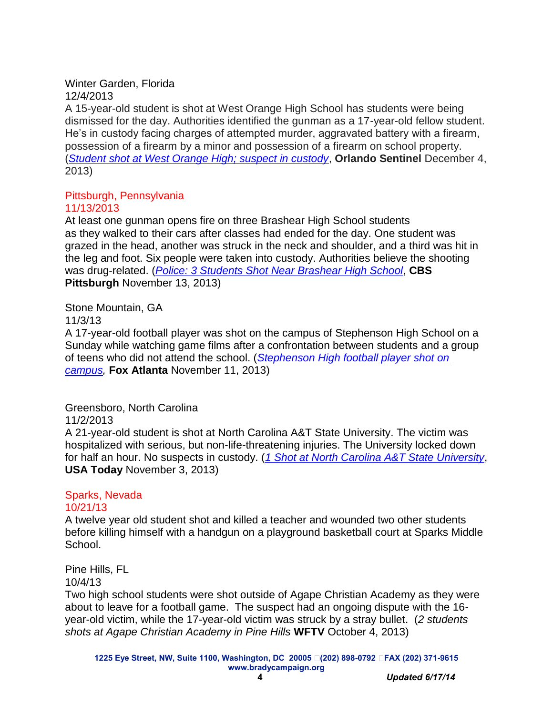Winter Garden, Florida 12/4/2013

A 15-year-old student is shot at West Orange High School has students were being dismissed for the day. Authorities identified the gunman as a 17-year-old fellow student. He's in custody facing charges of attempted murder, aggravated battery with a firearm, possession of a firearm by a minor and possession of a firearm on school property. (*[Student shot at West Orange High; suspect in custody](http://articles.orlandosentinel.com/2013-12-04/news/os-teen-shot-west-orange-high-20131204_1_bus-loop-student-shot-two-students)*, **Orlando Sentinel** December 4, 2013)

#### Pittsburgh, Pennsylvania 11/13/2013

At least one gunman opens fire on three Brashear High School students as they walked to their cars after classes had ended for the day. One student was grazed in the head, another was struck in the neck and shoulder, and a third was hit in the leg and foot. Six people were taken into custody. Authorities believe the shooting was drug-related. (*[Police: 3 Students Shot Near Brashear High School](http://pittsburgh.cbslocal.com/2013/11/13/police-reported-shooting-at-brashear-high-school/)*, **CBS Pittsburgh** November 13, 2013)

Stone Mountain, GA

#### 11/3/13

A 17-year-old football player was shot on the campus of Stephenson High School on a Sunday while watching game films after a confrontation between students and a group of teens who did not attend the school. (*[Stephenson High football player shot on](http://www.myfoxatlanta.com/story/23873227/stephenson-high-football-player-shot-on-campus)  [campus,](http://www.myfoxatlanta.com/story/23873227/stephenson-high-football-player-shot-on-campus)* **Fox Atlanta** November 11, 2013)

Greensboro, North Carolina

### 11/2/2013

A 21-year-old student is shot at North Carolina A&T State University. The victim was hospitalized with serious, but non-life-threatening injuries. The University locked down for half an hour. No suspects in custody. (*[1 Shot at North Carolina A&T State University](http://www.usatoday.com/story/news/nation/2013/11/03/shooting-north-carolina-university/3399821/)*, **USA Today** November 3, 2013)

# Sparks, Nevada

### 10/21/13

A twelve year old student shot and killed a teacher and wounded two other students before killing himself with a handgun on a playground basketball court at Sparks Middle School.

Pine Hills, FL

10/4/13

Two high school students were shot outside of Agape Christian Academy as they were about to leave for a football game. The suspect had an ongoing dispute with the 16 year-old victim, while the 17-year-old victim was struck by a stray bullet. (*2 students shots at Agape Christian Academy in Pine Hills* **WFTV** October 4, 2013)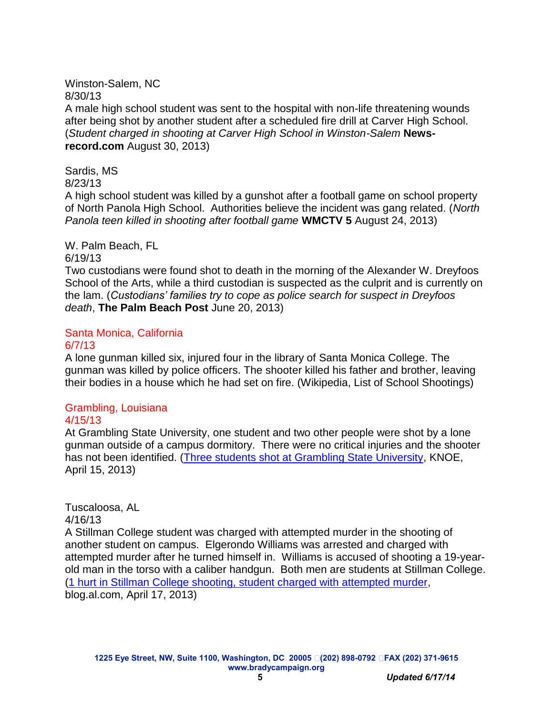#### Winston-Salem, NC 8/30/13

A male high school student was sent to the hospital with non-life threatening wounds after being shot by another student after a scheduled fire drill at Carver High School. (*Student charged in shooting at Carver High School in Winston-Salem* **Newsrecord.com** August 30, 2013)

Sardis, MS 8/23/13

A high school student was killed by a gunshot after a football game on school property of North Panola High School. Authorities believe the incident was gang related. (*North Panola teen killed in shooting after football game* **WMCTV 5** August 24, 2013)

### W. Palm Beach, FL

#### 6/19/13

Two custodians were found shot to death in the morning of the Alexander W. Dreyfoos School of the Arts, while a third custodian is suspected as the culprit and is currently on the lam. (*Custodians' families try to cope as police search for suspect in Dreyfoos death*, **The Palm Beach Post** June 20, 2013)

# Santa Monica, California

#### 6/7/13

A lone gunman killed six, injured four in the library of Santa Monica College. The gunman was killed by police officers. The shooter killed his father and brother, leaving their bodies in a house which he had set on fire. (Wikipedia, List of School Shootings)

# Grambling, Louisiana

### 4/15/13

At Grambling State University, one student and two other people were shot by a lone gunman outside of a campus dormitory. There were no critical injuries and the shooter has not been identified. [\(Three students shot at Grambling State University,](http://www.knoe.com/story/21986135/three-shot-at-grambling-state-university) KNOE, April 15, 2013)

# Tuscaloosa, AL

#### 4/16/13

A Stillman College student was charged with attempted murder in the shooting of another student on campus. Elgerondo Williams was arrested and charged with attempted murder after he turned himself in. Williams is accused of shooting a 19-yearold man in the torso with a caliber handgun. Both men are students at Stillman College. [\(1 hurt in Stillman College shooting, student charged with attempted murder,](file:///C:/Users/anacht/AppData/Local/Microsoft/Windows/Temporary%20Internet%20Files/Content.Outlook/VWZK1Y84/unintentional-shootingsFeb2014.docx) blog.al.com, April 17, 2013)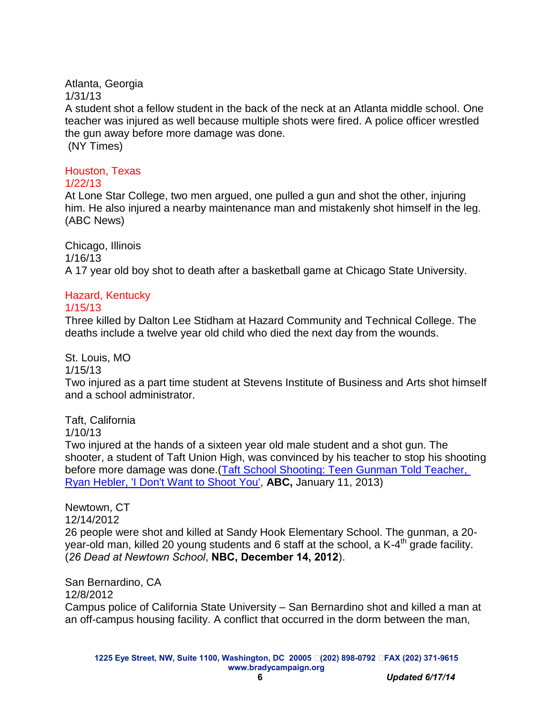#### Atlanta, Georgia

1/31/13

A student shot a fellow student in the back of the neck at an Atlanta middle school. One teacher was injured as well because multiple shots were fired. A police officer wrestled the gun away before more damage was done. (NY Times)

#### Houston, Texas 1/22/13

At Lone Star College, two men argued, one pulled a gun and shot the other, injuring him. He also injured a nearby maintenance man and mistakenly shot himself in the leg. (ABC News)

Chicago, Illinois 1/16/13 A 17 year old boy shot to death after a basketball game at Chicago State University.

## Hazard, Kentucky

#### 1/15/13

Three killed by Dalton Lee Stidham at Hazard Community and Technical College. The deaths include a twelve year old child who died the next day from the wounds.

St. Louis, MO

1/15/13

Two injured as a part time student at Stevens Institute of Business and Arts shot himself and a school administrator.

Taft, California

1/10/13

Two injured at the hands of a sixteen year old male student and a shot gun. The shooter, a student of Taft Union High, was convinced by his teacher to stop his shooting before more damage was done.[\(Taft School Shooting: Teen Gunman Told Teacher,](http://abcnews.go.com/US/teen-gunman-told-teacher-ryan-heber-shoot/story?id=18189580)  [Ryan Hebler, 'I Don't Want to Shoot You',](http://abcnews.go.com/US/teen-gunman-told-teacher-ryan-heber-shoot/story?id=18189580) **ABC,** January 11, 2013)

Newtown, CT 12/14/2012 26 people were shot and killed at Sandy Hook Elementary School. The gunman, a 20 year-old man, killed 20 young students and 6 staff at the school, a K-4<sup>th</sup> grade facility. (*26 Dead at Newtown School*, **NBC, December 14, 2012**).

San Bernardino, CA 12/8/2012 Campus police of California State University – San Bernardino shot and killed a man at an off-campus housing facility. A conflict that occurred in the dorm between the man,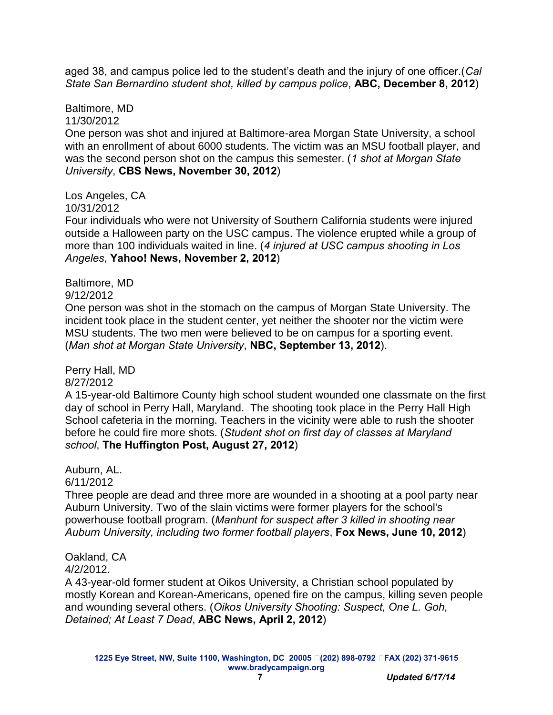aged 38, and campus police led to the student's death and the injury of one officer.(*Cal State San Bernardino student shot, killed by campus police*, **ABC, December 8, 2012**)

Baltimore, MD 11/30/2012

One person was shot and injured at Baltimore-area Morgan State University, a school with an enrollment of about 6000 students. The victim was an MSU football player, and was the second person shot on the campus this semester. (*1 shot at Morgan State University*, **CBS News, November 30, 2012**)

Los Angeles, CA 10/31/2012

Four individuals who were not University of Southern California students were injured outside a Halloween party on the USC campus. The violence erupted while a group of more than 100 individuals waited in line. (*4 injured at USC campus shooting in Los Angeles*, **Yahoo! News, November 2, 2012**)

Baltimore, MD 9/12/2012

One person was shot in the stomach on the campus of Morgan State University. The incident took place in the student center, yet neither the shooter nor the victim were MSU students. The two men were believed to be on campus for a sporting event. (*Man shot at Morgan State University*, **NBC, September 13, 2012**).

Perry Hall, MD

8/27/2012

A 15-year-old Baltimore County high school student wounded one classmate on the first day of school in Perry Hall, Maryland. The shooting took place in the Perry Hall High School cafeteria in the morning. Teachers in the vicinity were able to rush the shooter before he could fire more shots. (*Student shot on first day of classes at Maryland school*, **The Huffington Post, August 27, 2012**)

Auburn, AL. 6/11/2012

Three people are dead and three more are wounded in a shooting at a pool party near Auburn University. Two of the slain victims were former players for the school's powerhouse football program. (*Manhunt for suspect after 3 killed in shooting near Auburn University, including two former football players*, **Fox News, June 10, 2012**)

Oakland, CA

4/2/2012.

A 43-year-old former student at Oikos University, a Christian school populated by mostly Korean and Korean-Americans, opened fire on the campus, killing seven people and wounding several others. (*Oikos University Shooting: Suspect, One L. Goh, Detained; At Least 7 Dead*, **ABC News, April 2, 2012**)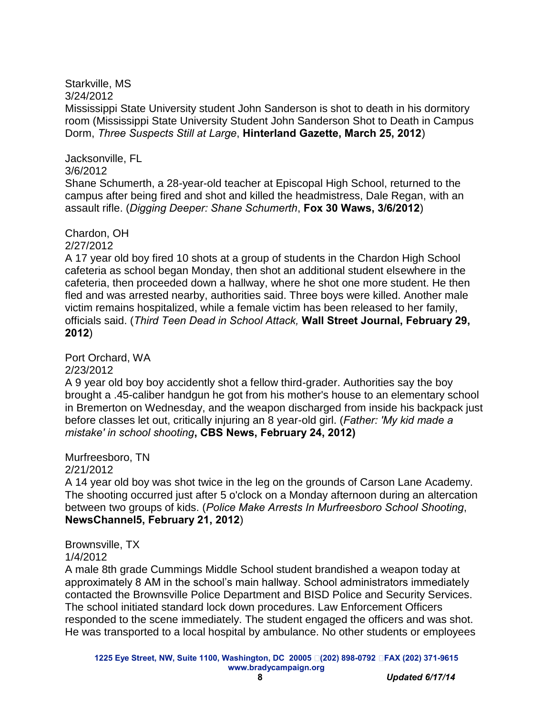Starkville, MS

3/24/2012

Mississippi State University student John Sanderson is shot to death in his dormitory room (Mississippi State University Student John Sanderson Shot to Death in Campus Dorm, *Three Suspects Still at Large*, **Hinterland Gazette, March 25, 2012**)

Jacksonville, FL 3/6/2012

Shane Schumerth, a 28-year-old teacher at Episcopal High School, returned to the campus after being fired and shot and killed the headmistress, Dale Regan, with an assault rifle. (*Digging Deeper: Shane Schumerth*, **Fox 30 Waws, 3/6/2012**)

Chardon, OH 2/27/2012

A 17 year old boy fired 10 shots at a group of students in the Chardon High School cafeteria as school began Monday, then shot an additional student elsewhere in the cafeteria, then proceeded down a hallway, where he shot one more student. He then fled and was arrested nearby, authorities said. Three boys were killed. Another male victim remains hospitalized, while a female victim has been released to her family, officials said. (*Third Teen Dead in School Attack,* **Wall Street Journal, February 29, 2012**)

Port Orchard, WA

2/23/2012

A 9 year old boy boy accidently shot a fellow third-grader. Authorities say the boy brought a .45-caliber handgun he got from his mother's house to an elementary school in Bremerton on Wednesday, and the weapon discharged from inside his backpack just before classes let out, critically injuring an 8 year-old girl. (*Father: 'My kid made a mistake' in school shooting***, CBS News, February 24, 2012)**

Murfreesboro, TN

2/21/2012

A 14 year old boy was shot twice in the leg on the grounds of Carson Lane Academy. The shooting occurred just after 5 o'clock on a Monday afternoon during an altercation between two groups of kids. (*Police Make Arrests In Murfreesboro School Shooting*, **NewsChannel5, February 21, 2012**)

Brownsville, TX

### 1/4/2012

A male 8th grade Cummings Middle School student brandished a weapon today at approximately 8 AM in the school's main hallway. School administrators immediately contacted the Brownsville Police Department and BISD Police and Security Services. The school initiated standard lock down procedures. Law Enforcement Officers responded to the scene immediately. The student engaged the officers and was shot. He was transported to a local hospital by ambulance. No other students or employees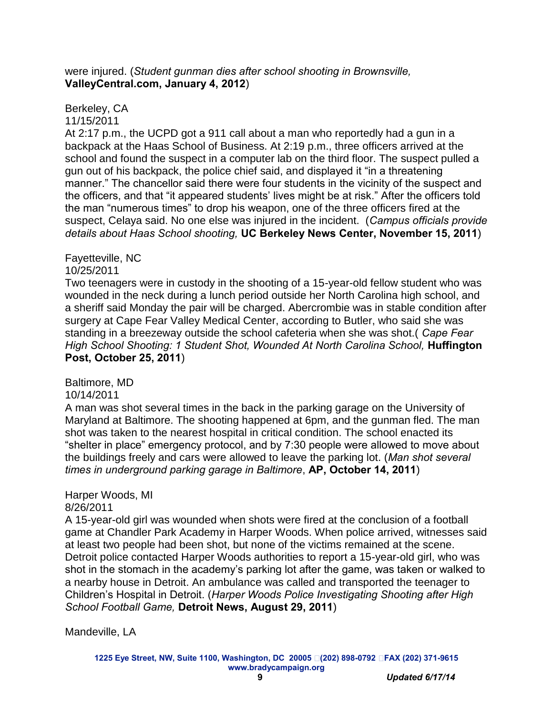#### were injured. (*Student gunman dies after school shooting in Brownsville,* **ValleyCentral.com, January 4, 2012**)

#### Berkeley, CA 11/15/2011

At 2:17 p.m., the UCPD got a 911 call about a man who reportedly had a gun in a backpack at the Haas School of Business. At 2:19 p.m., three officers arrived at the school and found the suspect in a computer lab on the third floor. The suspect pulled a gun out of his backpack, the police chief said, and displayed it "in a threatening manner." The chancellor said there were four students in the vicinity of the suspect and the officers, and that "it appeared students' lives might be at risk." After the officers told the man "numerous times" to drop his weapon, one of the three officers fired at the suspect, Celaya said. No one else was injured in the incident. (*Campus officials provide details about Haas School shooting,* **UC Berkeley News Center, November 15, 2011**)

#### Fayetteville, NC 10/25/2011

Two teenagers were in custody in the shooting of a 15-year-old fellow student who was wounded in the neck during a lunch period outside her North Carolina high school, and a sheriff said Monday the pair will be charged. Abercrombie was in stable condition after surgery at Cape Fear Valley Medical Center, according to Butler, who said she was standing in a breezeway outside the school cafeteria when she was shot.( *Cape Fear High School Shooting: 1 Student Shot, Wounded At North Carolina School, Huffington* **Post, October 25, 2011**)

Baltimore, MD

### 10/14/2011

A man was shot several times in the back in the parking garage on the University of Maryland at Baltimore. The shooting happened at 6pm, and the gunman fled. The man shot was taken to the nearest hospital in critical condition. The school enacted its "shelter in place" emergency protocol, and by 7:30 people were allowed to move about the buildings freely and cars were allowed to leave the parking lot. (*Man shot several times in underground parking garage in Baltimore*, **AP, October 14, 2011**)

# Harper Woods, MI

8/26/2011

A 15-year-old girl was wounded when shots were fired at the conclusion of a football game at Chandler Park Academy in Harper Woods. When police arrived, witnesses said at least two people had been shot, but none of the victims remained at the scene. Detroit police contacted Harper Woods authorities to report a 15-year-old girl, who was shot in the stomach in the academy's parking lot after the game, was taken or walked to a nearby house in Detroit. An ambulance was called and transported the teenager to Children's Hospital in Detroit. (*Harper Woods Police Investigating Shooting after High School Football Game,* **Detroit News, August 29, 2011**)

Mandeville, LA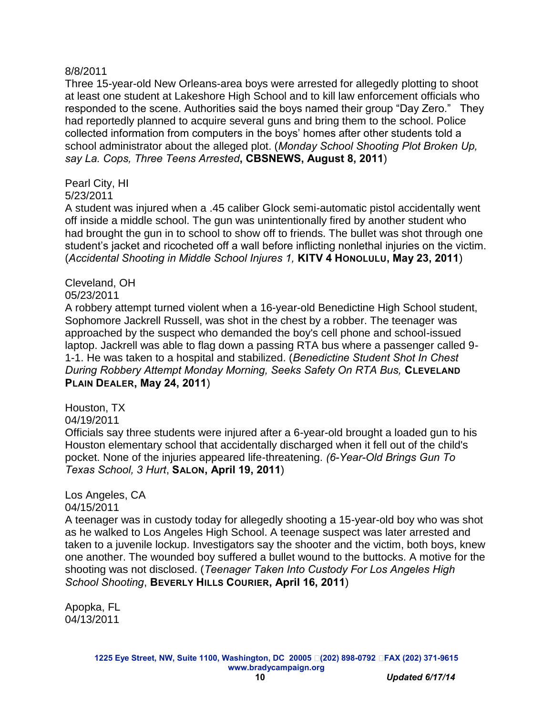#### 8/8/2011

Three 15-year-old New Orleans-area boys were arrested for allegedly plotting to shoot at least one student at Lakeshore High School and to kill law enforcement officials who responded to the scene. Authorities said the boys named their group "Day Zero." They had reportedly planned to acquire several guns and bring them to the school. Police collected information from computers in the boys' homes after other students told a school administrator about the alleged plot. (*Monday School Shooting Plot Broken Up, say La. Cops, Three Teens Arrested***, CBSNEWS, August 8, 2011**)

Pearl City, HI

#### 5/23/2011

A student was injured when a .45 caliber Glock semi-automatic pistol accidentally went off inside a middle school. The gun was unintentionally fired by another student who had brought the gun in to school to show off to friends. The bullet was shot through one student's jacket and ricocheted off a wall before inflicting nonlethal injuries on the victim. (*Accidental Shooting in Middle School Injures 1,* **KITV 4 HONOLULU, May 23, 2011**)

#### Cleveland, OH

#### 05/23/2011

A robbery attempt turned violent when a 16-year-old Benedictine High School student, Sophomore Jackrell Russell, was shot in the chest by a robber. The teenager was approached by the suspect who demanded the boy's cell phone and school-issued laptop. Jackrell was able to flag down a passing RTA bus where a passenger called 9- 1-1. He was taken to a hospital and stabilized. (*Benedictine Student Shot In Chest During Robbery Attempt Monday Morning, Seeks Safety On RTA Bus,* **CLEVELAND PLAIN DEALER, May 24, 2011**)

Houston, TX

04/19/2011 Officials say three students were injured after a 6-year-old brought a loaded gun to his Houston elementary school that accidentally discharged when it fell out of the child's pocket. None of the injuries appeared life-threatening. *(6-Year-Old Brings Gun To Texas School, 3 Hurt*, **SALON, April 19, 2011**)

# Los Angeles, CA

#### 04/15/2011

A teenager was in custody today for allegedly shooting a 15-year-old boy who was shot as he walked to Los Angeles High School. A teenage suspect was later arrested and taken to a juvenile lockup. Investigators say the shooter and the victim, both boys, knew one another. The wounded boy suffered a bullet wound to the buttocks. A motive for the shooting was not disclosed. (*Teenager Taken Into Custody For Los Angeles High School Shooting*, **BEVERLY HILLS COURIER, April 16, 2011**)

Apopka, FL 04/13/2011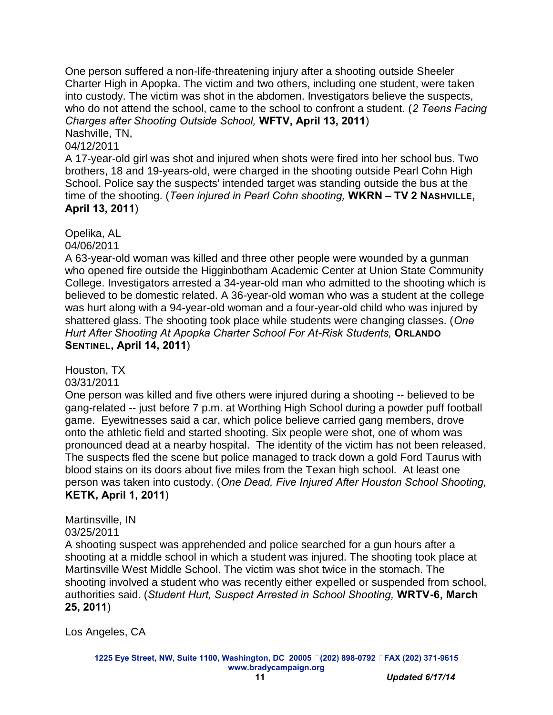One person suffered a non-life-threatening injury after a shooting outside Sheeler Charter High in Apopka. The victim and two others, including one student, were taken into custody. The victim was shot in the abdomen. Investigators believe the suspects, who do not attend the school, came to the school to confront a student. (*2 Teens Facing Charges after Shooting Outside School,* **WFTV, April 13, 2011**)

Nashville, TN,

04/12/2011

A 17-year-old girl was shot and injured when shots were fired into her school bus. Two brothers, 18 and 19-years-old, were charged in the shooting outside Pearl Cohn High School. Police say the suspects' intended target was standing outside the bus at the time of the shooting. (*Teen injured in Pearl Cohn shooting,* **WKRN – TV 2 NASHVILLE, April 13, 2011**)

Opelika, AL

04/06/2011

A 63-year-old woman was killed and three other people were wounded by a gunman who opened fire outside the Higginbotham Academic Center at Union State Community College. Investigators arrested a 34-year-old man who admitted to the shooting which is believed to be domestic related. A 36-year-old woman who was a student at the college was hurt along with a 94-year-old woman and a four-year-old child who was injured by shattered glass. The shooting took place while students were changing classes. (*One Hurt After Shooting At Apopka Charter School For At-Risk Students,* **ORLANDO SENTINEL, April 14, 2011**)

Houston, TX

03/31/2011

One person was killed and five others were injured during a shooting -- believed to be gang-related -- just before 7 p.m. at Worthing High School during a powder puff football game. Eyewitnesses said a car, which police believe carried gang members, drove onto the athletic field and started shooting. Six people were shot, one of whom was pronounced dead at a nearby hospital. The identity of the victim has not been released. The suspects fled the scene but police managed to track down a gold Ford Taurus with blood stains on its doors about five miles from the Texan high school. At least one person was taken into custody. (*One Dead, Five Injured After Houston School Shooting,* **KETK, April 1, 2011**)

Martinsville, IN

03/25/2011

A shooting suspect was apprehended and police searched for a gun hours after a shooting at a middle school in which a student was injured. The shooting took place at Martinsville West Middle School. The victim was shot twice in the stomach. The shooting involved a student who was recently either expelled or suspended from school, authorities said. (*Student Hurt, Suspect Arrested in School Shooting,* **WRTV-6, March 25, 2011**)

Los Angeles, CA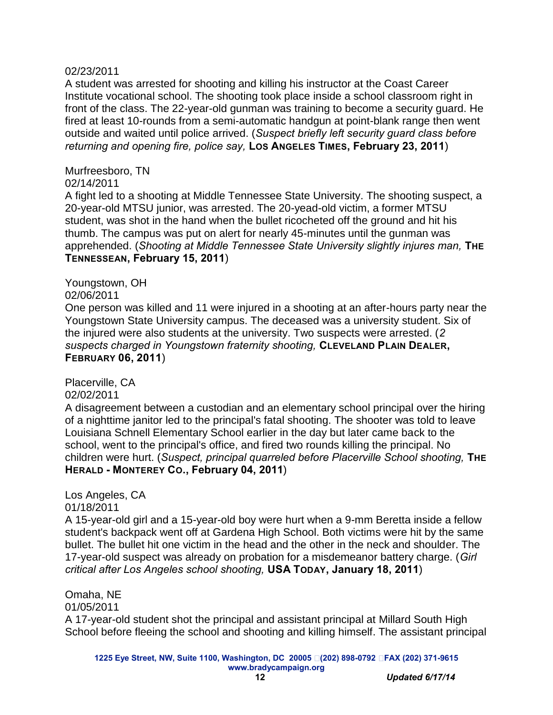#### 02/23/2011

A student was arrested for shooting and killing his instructor at the Coast Career Institute vocational school. The shooting took place inside a school classroom right in front of the class. The 22-year-old gunman was training to become a security guard. He fired at least 10-rounds from a semi-automatic handgun at point-blank range then went outside and waited until police arrived. (*Suspect briefly left security guard class before returning and opening fire, police say,* **LOS ANGELES TIMES, February 23, 2011**)

#### Murfreesboro, TN

#### 02/14/2011

A fight led to a shooting at Middle Tennessee State University. The shooting suspect, a 20-year-old MTSU junior, was arrested. The 20-yead-old victim, a former MTSU student, was shot in the hand when the bullet ricocheted off the ground and hit his thumb. The campus was put on alert for nearly 45-minutes until the gunman was apprehended. (*Shooting at Middle Tennessee State University slightly injures man,* **THE TENNESSEAN, February 15, 2011**)

#### Youngstown, OH

02/06/2011

One person was killed and 11 were injured in a shooting at an after-hours party near the Youngstown State University campus. The deceased was a university student. Six of the injured were also students at the university. Two suspects were arrested. (*2 suspects charged in Youngstown fraternity shooting,* **CLEVELAND PLAIN DEALER, FEBRUARY 06, 2011**)

Placerville, CA 02/02/2011

A disagreement between a custodian and an elementary school principal over the hiring of a nighttime janitor led to the principal's fatal shooting. The shooter was told to leave Louisiana Schnell Elementary School earlier in the day but later came back to the school, went to the principal's office, and fired two rounds killing the principal. No children were hurt. (*Suspect, principal quarreled before Placerville School shooting,* **THE HERALD - MONTEREY CO., February 04, 2011**)

Los Angeles, CA 01/18/2011

A 15-year-old girl and a 15-year-old boy were hurt when a 9-mm Beretta inside a fellow student's backpack went off at Gardena High School. Both victims were hit by the same bullet. The bullet hit one victim in the head and the other in the neck and shoulder. The 17-year-old suspect was already on probation for a misdemeanor battery charge. (*Girl critical after Los Angeles school shooting,* **USA TODAY, January 18, 2011**)

Omaha, NE 01/05/2011 A 17-year-old student shot the principal and assistant principal at Millard South High School before fleeing the school and shooting and killing himself. The assistant principal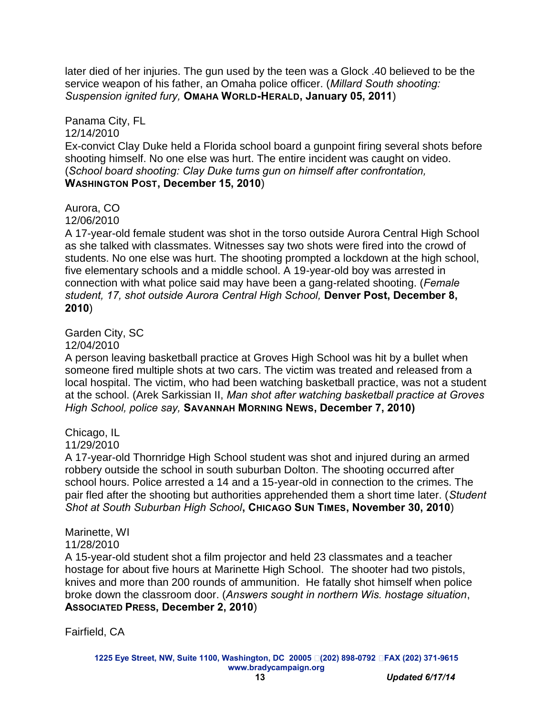later died of her injuries. The gun used by the teen was a Glock .40 believed to be the service weapon of his father, an Omaha police officer. (*Millard South shooting: Suspension ignited fury,* **OMAHA WORLD-HERALD, January 05, 2011**)

Panama City, FL 12/14/2010 Ex-convict Clay Duke held a Florida school board a gunpoint firing several shots before shooting himself. No one else was hurt. The entire incident was caught on video. (*School board shooting: Clay Duke turns gun on himself after confrontation,*  **WASHINGTON POST, December 15, 2010**)

### Aurora, CO

12/06/2010

A 17-year-old female student was shot in the torso outside Aurora Central High School as she talked with classmates. Witnesses say two shots were fired into the crowd of students. No one else was hurt. The shooting prompted a lockdown at the high school, five elementary schools and a middle school. A 19-year-old boy was arrested in connection with what police said may have been a gang-related shooting. (*Female student, 17, shot outside Aurora Central High School,* **Denver Post, December 8, 2010**)

## Garden City, SC

12/04/2010

A person leaving basketball practice at Groves High School was hit by a bullet when someone fired multiple shots at two cars. The victim was treated and released from a local hospital. The victim, who had been watching basketball practice, was not a student at the school. (Arek Sarkissian II, *Man shot after watching basketball practice at Groves High School, police say,* **SAVANNAH MORNING NEWS, December 7, 2010)**

## Chicago, IL

11/29/2010

A 17-year-old Thornridge High School student was shot and injured during an armed robbery outside the school in south suburban Dolton. The shooting occurred after school hours. Police arrested a 14 and a 15-year-old in connection to the crimes. The pair fled after the shooting but authorities apprehended them a short time later. (*Student Shot at South Suburban High School***, CHICAGO SUN TIMES, November 30, 2010**)

## Marinette, WI

11/28/2010

A 15-year-old student shot a film projector and held 23 classmates and a teacher hostage for about five hours at Marinette High School. The shooter had two pistols, knives and more than 200 rounds of ammunition. He fatally shot himself when police broke down the classroom door. (*Answers sought in northern Wis. hostage situation*, **ASSOCIATED PRESS, December 2, 2010**)

Fairfield, CA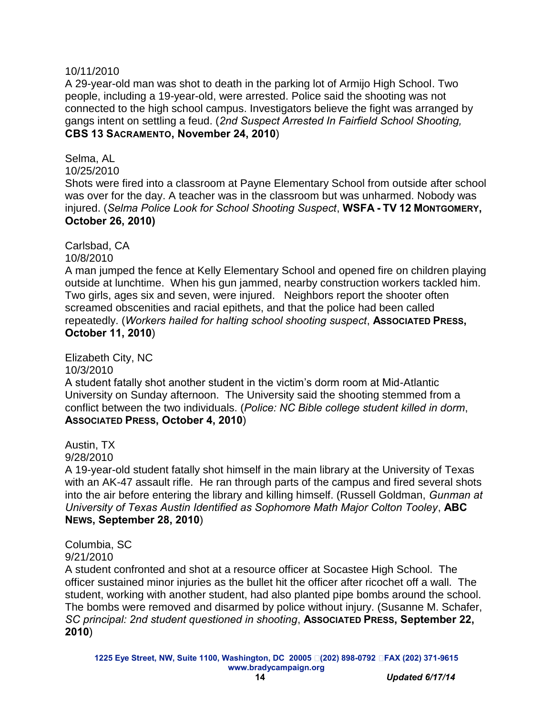#### 10/11/2010

A 29-year-old man was shot to death in the parking lot of Armijo High School. Two people, including a 19-year-old, were arrested. Police said the shooting was not connected to the high school campus. Investigators believe the fight was arranged by gangs intent on settling a feud. (*2nd Suspect Arrested In Fairfield School Shooting,* **CBS 13 SACRAMENTO, November 24, 2010**)

Selma, AL 10/25/2010 Shots were fired into a classroom at Payne Elementary School from outside after school was over for the day. A teacher was in the classroom but was unharmed. Nobody was injured. (*Selma Police Look for School Shooting Suspect*, **WSFA - TV 12 MONTGOMERY, October 26, 2010)**

Carlsbad, CA 10/8/2010

A man jumped the fence at Kelly Elementary School and opened fire on children playing outside at lunchtime. When his gun jammed, nearby construction workers tackled him. Two girls, ages six and seven, were injured. Neighbors report the shooter often screamed obscenities and racial epithets, and that the police had been called repeatedly. (*Workers hailed for halting school shooting suspect*, **ASSOCIATED PRESS, October 11, 2010**)

Elizabeth City, NC

10/3/2010

A student fatally shot another student in the victim's dorm room at Mid-Atlantic University on Sunday afternoon. The University said the shooting stemmed from a conflict between the two individuals. (*Police: NC Bible college student killed in dorm*, **ASSOCIATED PRESS, October 4, 2010**)

Austin, TX

9/28/2010

A 19-year-old student fatally shot himself in the main library at the University of Texas with an AK-47 assault rifle. He ran through parts of the campus and fired several shots into the air before entering the library and killing himself. (Russell Goldman, *Gunman at University of Texas Austin Identified as Sophomore Math Major Colton Tooley*, **ABC NEWS, September 28, 2010**)

Columbia, SC 9/21/2010

A student confronted and shot at a resource officer at Socastee High School. The officer sustained minor injuries as the bullet hit the officer after ricochet off a wall. The student, working with another student, had also planted pipe bombs around the school. The bombs were removed and disarmed by police without injury. (Susanne M. Schafer, *SC principal: 2nd student questioned in shooting*, **ASSOCIATED PRESS, September 22, 2010**)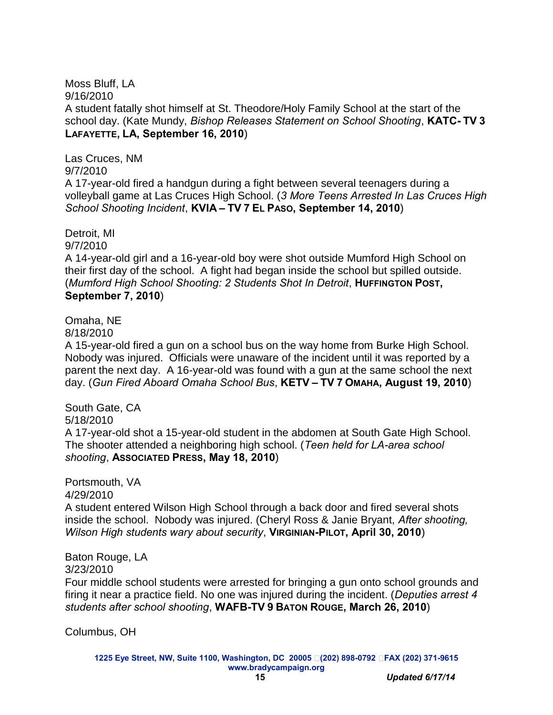Moss Bluff, LA 9/16/2010 A student fatally shot himself at St. Theodore/Holy Family School at the start of the school day. (Kate Mundy, *Bishop Releases Statement on School Shooting*, **KATC- TV 3 LAFAYETTE, LA, September 16, 2010**)

Las Cruces, NM 9/7/2010 A 17-year-old fired a handgun during a fight between several teenagers during a volleyball game at Las Cruces High School. (*3 More Teens Arrested In Las Cruces High School Shooting Incident*, **KVIA – TV 7 EL PASO, September 14, 2010**)

Detroit, MI 9/7/2010

A 14-year-old girl and a 16-year-old boy were shot outside Mumford High School on their first day of the school. A fight had began inside the school but spilled outside. (*Mumford High School Shooting: 2 Students Shot In Detroit*, **HUFFINGTON POST, September 7, 2010**)

Omaha, NE

8/18/2010

A 15-year-old fired a gun on a school bus on the way home from Burke High School. Nobody was injured. Officials were unaware of the incident until it was reported by a parent the next day. A 16-year-old was found with a gun at the same school the next day. (*Gun Fired Aboard Omaha School Bus*, **KETV – TV 7 OMAHA, August 19, 2010**)

South Gate, CA 5/18/2010 A 17-year-old shot a 15-year-old student in the abdomen at South Gate High School. The shooter attended a neighboring high school. (*Teen held for LA-area school shooting*, **ASSOCIATED PRESS, May 18, 2010**)

Portsmouth, VA 4/29/2010

A student entered Wilson High School through a back door and fired several shots inside the school. Nobody was injured. (Cheryl Ross & Janie Bryant, *After shooting, Wilson High students wary about security*, **VIRGINIAN-PILOT, April 30, 2010**)

Baton Rouge, LA 3/23/2010

Four middle school students were arrested for bringing a gun onto school grounds and firing it near a practice field. No one was injured during the incident. (*Deputies arrest 4 students after school shooting*, **WAFB-TV 9 BATON ROUGE, March 26, 2010**)

Columbus, OH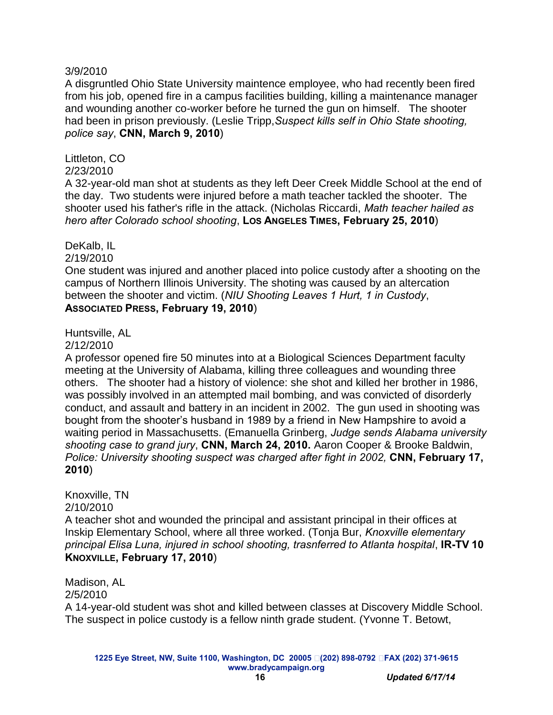#### 3/9/2010

A disgruntled Ohio State University maintence employee, who had recently been fired from his job, opened fire in a campus facilities building, killing a maintenance manager and wounding another co-worker before he turned the gun on himself. The shooter had been in prison previously. (Leslie Tripp,*Suspect kills self in Ohio State shooting, police say*, **CNN, March 9, 2010**)

Littleton, CO

### 2/23/2010

A 32-year-old man shot at students as they left Deer Creek Middle School at the end of the day. Two students were injured before a math teacher tackled the shooter. The shooter used his father's rifle in the attack. (Nicholas Riccardi, *Math teacher hailed as hero after Colorado school shooting*, **LOS ANGELES TIMES, February 25, 2010**)

### DeKalb, IL

2/19/2010

One student was injured and another placed into police custody after a shooting on the campus of Northern Illinois University. The shoting was caused by an altercation between the shooter and victim. (*NIU Shooting Leaves 1 Hurt, 1 in Custody*, **ASSOCIATED PRESS, February 19, 2010**)

Huntsville, AL

#### 2/12/2010

A professor opened fire 50 minutes into at a Biological Sciences Department faculty meeting at the University of Alabama, killing three colleagues and wounding three others. The shooter had a history of violence: she shot and killed her brother in 1986, was possibly involved in an attempted mail bombing, and was convicted of disorderly conduct, and assault and battery in an incident in 2002. The gun used in shooting was bought from the shooter's husband in 1989 by a friend in New Hampshire to avoid a waiting period in Massachusetts. (Emanuella Grinberg, *Judge sends Alabama university shooting case to grand jury*, **CNN, March 24, 2010.** Aaron Cooper & Brooke Baldwin, *Police: University shooting suspect was charged after fight in 2002,* **CNN, February 17, 2010**)

Knoxville, TN 2/10/2010

A teacher shot and wounded the principal and assistant principal in their offices at Inskip Elementary School, where all three worked. (Tonja Bur, *Knoxville elementary principal Elisa Luna, injured in school shooting, trasnferred to Atlanta hospital*, **IR-TV 10 KNOXVILLE, February 17, 2010**)

Madison, AL 2/5/2010 A 14-year-old student was shot and killed between classes at Discovery Middle School. The suspect in police custody is a fellow ninth grade student. (Yvonne T. Betowt,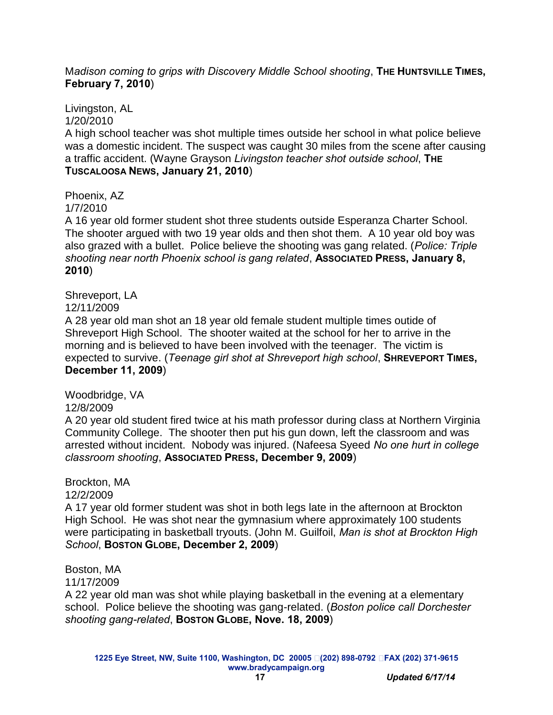#### M*adison coming to grips with Discovery Middle School shooting*, **THE HUNTSVILLE TIMES, February 7, 2010**)

Livingston, AL 1/20/2010

A high school teacher was shot multiple times outside her school in what police believe was a domestic incident. The suspect was caught 30 miles from the scene after causing a traffic accident. (Wayne Grayson *Livingston teacher shot outside school*, **THE TUSCALOOSA NEWS, January 21, 2010**)

Phoenix, AZ 1/7/2010

A 16 year old former student shot three students outside Esperanza Charter School. The shooter argued with two 19 year olds and then shot them. A 10 year old boy was also grazed with a bullet. Police believe the shooting was gang related. (*Police: Triple shooting near north Phoenix school is gang related*, **ASSOCIATED PRESS, January 8, 2010**)

Shreveport, LA

12/11/2009

A 28 year old man shot an 18 year old female student multiple times outide of Shreveport High School. The shooter waited at the school for her to arrive in the morning and is believed to have been involved with the teenager. The victim is expected to survive. (*Teenage girl shot at Shreveport high school*, **SHREVEPORT TIMES, December 11, 2009**)

Woodbridge, VA 12/8/2009

A 20 year old student fired twice at his math professor during class at Northern Virginia Community College. The shooter then put his gun down, left the classroom and was arrested without incident. Nobody was injured. (Nafeesa Syeed *No one hurt in college classroom shooting*, **ASSOCIATED PRESS, December 9, 2009**)

Brockton, MA

12/2/2009

A 17 year old former student was shot in both legs late in the afternoon at Brockton High School. He was shot near the gymnasium where approximately 100 students were participating in basketball tryouts. (John M. Guilfoil, *Man is shot at Brockton High School*, **BOSTON GLOBE, December 2, 2009**)

Boston, MA

11/17/2009

A 22 year old man was shot while playing basketball in the evening at a elementary school. Police believe the shooting was gang-related. (*Boston police call Dorchester shooting gang-related*, **BOSTON GLOBE, Nove. 18, 2009**)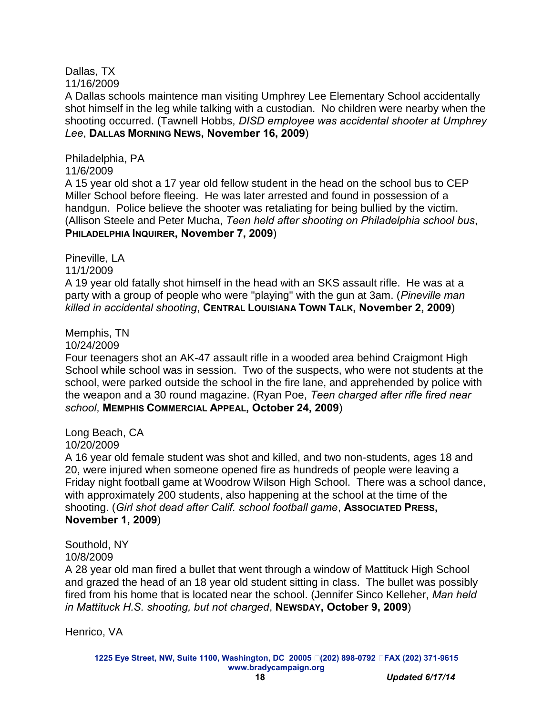## Dallas, TX

11/16/2009

A Dallas schools maintence man visiting Umphrey Lee Elementary School accidentally shot himself in the leg while talking with a custodian. No children were nearby when the shooting occurred. (Tawnell Hobbs, *DISD employee was accidental shooter at Umphrey Lee*, **DALLAS MORNING NEWS, November 16, 2009**)

Philadelphia, PA 11/6/2009 A 15 year old shot a 17 year old fellow student in the head on the school bus to CEP Miller School before fleeing. He was later arrested and found in possession of a handgun. Police believe the shooter was retaliating for being bullied by the victim. (Allison Steele and Peter Mucha, *Teen held after shooting on Philadelphia school bus*, **PHILADELPHIA INQUIRER, November 7, 2009**)

Pineville, LA 11/1/2009

A 19 year old fatally shot himself in the head with an SKS assault rifle. He was at a party with a group of people who were "playing" with the gun at 3am. (*Pineville man killed in accidental shooting*, **CENTRAL LOUISIANA TOWN TALK, November 2, 2009**)

Memphis, TN

10/24/2009

Four teenagers shot an AK-47 assault rifle in a wooded area behind Craigmont High School while school was in session. Two of the suspects, who were not students at the school, were parked outside the school in the fire lane, and apprehended by police with the weapon and a 30 round magazine. (Ryan Poe, *Teen charged after rifle fired near school*, **MEMPHIS COMMERCIAL APPEAL, October 24, 2009**)

Long Beach, CA

10/20/2009

A 16 year old female student was shot and killed, and two non-students, ages 18 and 20, were injured when someone opened fire as hundreds of people were leaving a Friday night football game at Woodrow Wilson High School. There was a school dance, with approximately 200 students, also happening at the school at the time of the shooting. (*Girl shot dead after Calif. school football game*, **ASSOCIATED PRESS, November 1, 2009**)

Southold, NY 10/8/2009

A 28 year old man fired a bullet that went through a window of Mattituck High School and grazed the head of an 18 year old student sitting in class. The bullet was possibly fired from his home that is located near the school. (Jennifer Sinco Kelleher, *Man held in Mattituck H.S. shooting, but not charged*, **NEWSDAY, October 9, 2009**)

Henrico, VA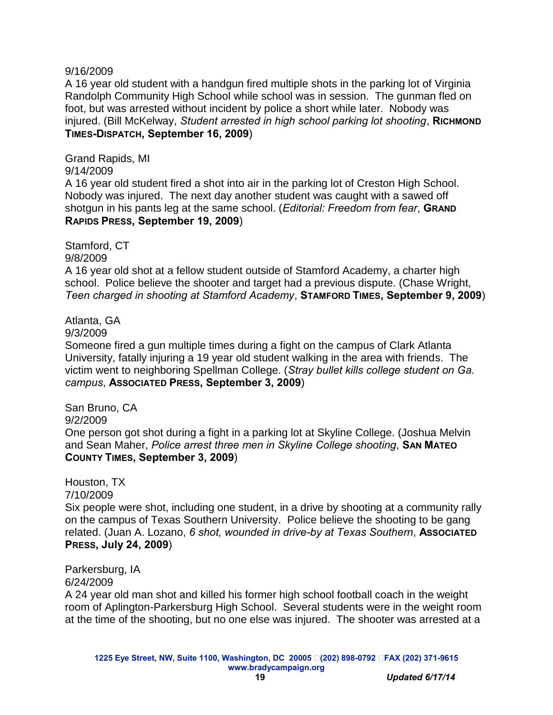#### 9/16/2009

A 16 year old student with a handgun fired multiple shots in the parking lot of Virginia Randolph Community High School while school was in session. The gunman fled on foot, but was arrested without incident by police a short while later. Nobody was injured. (Bill McKelway, *Student arrested in high school parking lot shooting*, **RICHMOND TIMES-DISPATCH, September 16, 2009**)

Grand Rapids, MI

9/14/2009

A 16 year old student fired a shot into air in the parking lot of Creston High School. Nobody was injured. The next day another student was caught with a sawed off shotgun in his pants leg at the same school. (*Editorial: Freedom from fear*, **GRAND RAPIDS PRESS, September 19, 2009**)

Stamford, CT

9/8/2009

A 16 year old shot at a fellow student outside of Stamford Academy, a charter high school. Police believe the shooter and target had a previous dispute. (Chase Wright, *Teen charged in shooting at Stamford Academy*, **STAMFORD TIMES, September 9, 2009**)

Atlanta, GA

9/3/2009

Someone fired a gun multiple times during a fight on the campus of Clark Atlanta University, fatally injuring a 19 year old student walking in the area with friends. The victim went to neighboring Spellman College. (*Stray bullet kills college student on Ga. campus*, **ASSOCIATED PRESS, September 3, 2009**)

San Bruno, CA 9/2/2009 One person got shot during a fight in a parking lot at Skyline College. (Joshua Melvin and Sean Maher, *Police arrest three men in Skyline College shooting*, **SAN MATEO COUNTY TIMES, September 3, 2009**)

Houston, TX

7/10/2009

Six people were shot, including one student, in a drive by shooting at a community rally on the campus of Texas Southern University. Police believe the shooting to be gang related. (Juan A. Lozano, *6 shot, wounded in drive-by at Texas Southern*, **ASSOCIATED PRESS, July 24, 2009**)

Parkersburg, IA 6/24/2009

A 24 year old man shot and killed his former high school football coach in the weight room of Aplington-Parkersburg High School. Several students were in the weight room at the time of the shooting, but no one else was injured. The shooter was arrested at a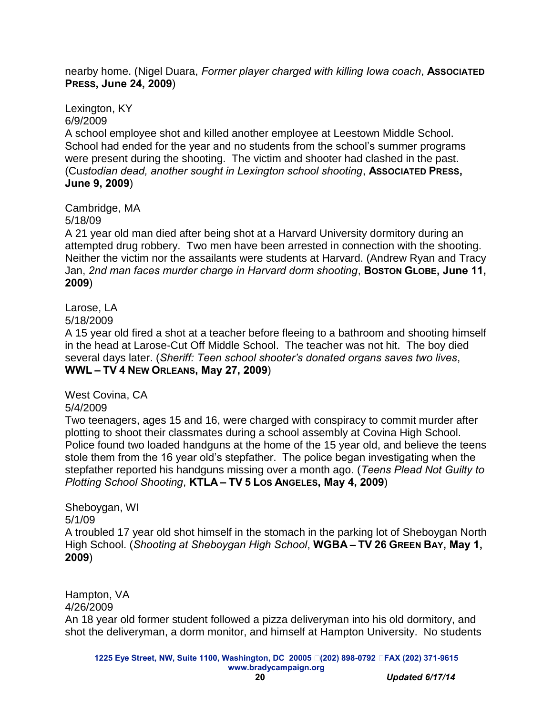nearby home. (Nigel Duara, *Former player charged with killing Iowa coach*, **ASSOCIATED PRESS, June 24, 2009**)

Lexington, KY 6/9/2009

A school employee shot and killed another employee at Leestown Middle School. School had ended for the year and no students from the school's summer programs were present during the shooting. The victim and shooter had clashed in the past. (Cu*stodian dead, another sought in Lexington school shooting*, **ASSOCIATED PRESS, June 9, 2009**)

Cambridge, MA

5/18/09

A 21 year old man died after being shot at a Harvard University dormitory during an attempted drug robbery. Two men have been arrested in connection with the shooting. Neither the victim nor the assailants were students at Harvard. (Andrew Ryan and Tracy Jan, *2nd man faces murder charge in Harvard dorm shooting*, **BOSTON GLOBE, June 11, 2009**)

### Larose, LA

5/18/2009

A 15 year old fired a shot at a teacher before fleeing to a bathroom and shooting himself in the head at Larose-Cut Off Middle School. The teacher was not hit. The boy died several days later. (*Sheriff: Teen school shooter's donated organs saves two lives*, **WWL – TV 4 NEW ORLEANS, May 27, 2009**)

West Covina, CA 5/4/2009

Two teenagers, ages 15 and 16, were charged with conspiracy to commit murder after plotting to shoot their classmates during a school assembly at Covina High School. Police found two loaded handguns at the home of the 15 year old, and believe the teens stole them from the 16 year old's stepfather. The police began investigating when the stepfather reported his handguns missing over a month ago. (*Teens Plead Not Guilty to Plotting School Shooting*, **KTLA – TV 5 LOS ANGELES, May 4, 2009**)

Sheboygan, WI 5/1/09 A troubled 17 year old shot himself in the stomach in the parking lot of Sheboygan North High School. (*Shooting at Sheboygan High School*, **WGBA – TV 26 GREEN BAY, May 1, 2009**)

Hampton, VA 4/26/2009 An 18 year old former student followed a pizza deliveryman into his old dormitory, and shot the deliveryman, a dorm monitor, and himself at Hampton University. No students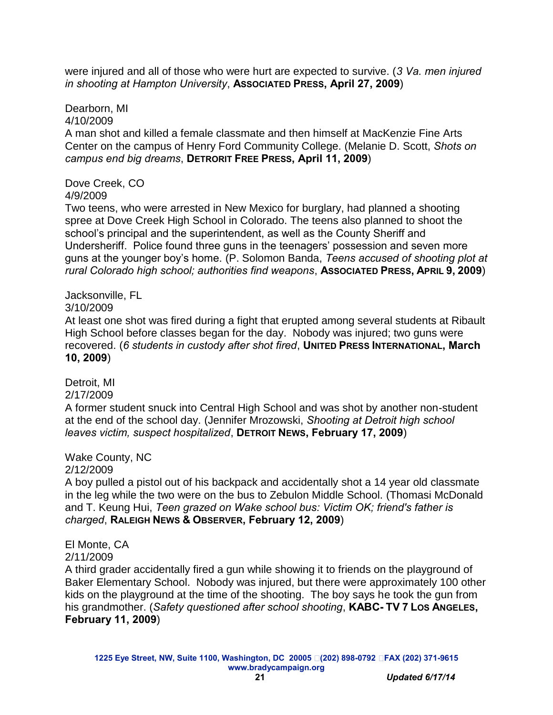were injured and all of those who were hurt are expected to survive. (*3 Va. men injured in shooting at Hampton University*, **ASSOCIATED PRESS, April 27, 2009**)

Dearborn, MI 4/10/2009

A man shot and killed a female classmate and then himself at MacKenzie Fine Arts Center on the campus of Henry Ford Community College. (Melanie D. Scott, *Shots on campus end big dreams*, **DETRORIT FREE PRESS, April 11, 2009**)

Dove Creek, CO 4/9/2009

Two teens, who were arrested in New Mexico for burglary, had planned a shooting spree at Dove Creek High School in Colorado. The teens also planned to shoot the school's principal and the superintendent, as well as the County Sheriff and Undersheriff. Police found three guns in the teenagers' possession and seven more guns at the younger boy's home. (P. Solomon Banda, *Teens accused of shooting plot at rural Colorado high school; authorities find weapons*, **ASSOCIATED PRESS, APRIL 9, 2009**)

#### Jacksonville, FL

#### 3/10/2009

At least one shot was fired during a fight that erupted among several students at Ribault High School before classes began for the day. Nobody was injured; two guns were  $r$  **recovered.** (6 students in custody after shot fired, UNITED PRESS INTERNATIONAL, March **10, 2009**)

## Detroit, MI

#### 2/17/2009

A former student snuck into Central High School and was shot by another non-student at the end of the school day. (Jennifer Mrozowski, *Shooting at Detroit high school leaves victim, suspect hospitalized*, **DETROIT NEWS, February 17, 2009**)

### Wake County, NC

#### 2/12/2009

A boy pulled a pistol out of his backpack and accidentally shot a 14 year old classmate in the leg while the two were on the bus to Zebulon Middle School. (Thomasi McDonald and T. Keung Hui, *Teen grazed on Wake school bus: Victim OK; friend's father is charged*, **RALEIGH NEWS & OBSERVER, February 12, 2009**)

El Monte, CA

## 2/11/2009

A third grader accidentally fired a gun while showing it to friends on the playground of Baker Elementary School. Nobody was injured, but there were approximately 100 other kids on the playground at the time of the shooting. The boy says he took the gun from his grandmother. (*Safety questioned after school shooting*, **KABC- TV 7 LOS ANGELES, February 11, 2009**)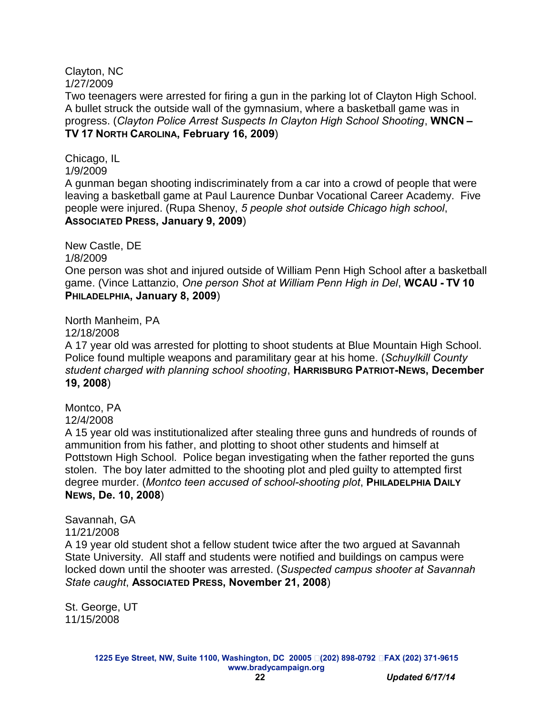#### Clayton, NC 1/27/2009

Two teenagers were arrested for firing a gun in the parking lot of Clayton High School. A bullet struck the outside wall of the gymnasium, where a basketball game was in progress. (*Clayton Police Arrest Suspects In Clayton High School Shooting*, **WNCN – TV 17 NORTH CAROLINA, February 16, 2009**)

Chicago, IL

1/9/2009

A gunman began shooting indiscriminately from a car into a crowd of people that were leaving a basketball game at Paul Laurence Dunbar Vocational Career Academy. Five people were injured. (Rupa Shenoy, *5 people shot outside Chicago high school*, **ASSOCIATED PRESS, January 9, 2009**)

New Castle, DE

1/8/2009

One person was shot and injured outside of William Penn High School after a basketball game. (Vince Lattanzio, *One person Shot at William Penn High in Del*, **WCAU - TV 10 PHILADELPHIA, January 8, 2009**)

North Manheim, PA

12/18/2008

A 17 year old was arrested for plotting to shoot students at Blue Mountain High School. Police found multiple weapons and paramilitary gear at his home. (*Schuylkill County student charged with planning school shooting*, **HARRISBURG PATRIOT-NEWS, December 19, 2008**)

Montco, PA 12/4/2008

A 15 year old was institutionalized after stealing three guns and hundreds of rounds of ammunition from his father, and plotting to shoot other students and himself at Pottstown High School. Police began investigating when the father reported the guns stolen. The boy later admitted to the shooting plot and pled guilty to attempted first degree murder. (*Montco teen accused of school-shooting plot*, **PHILADELPHIA DAILY NEWS, De. 10, 2008**)

Savannah, GA 11/21/2008 A 19 year old student shot a fellow student twice after the two argued at Savannah State University. All staff and students were notified and buildings on campus were locked down until the shooter was arrested. (*Suspected campus shooter at Savannah* 

*State caught*, **ASSOCIATED PRESS, November 21, 2008**)

St. George, UT 11/15/2008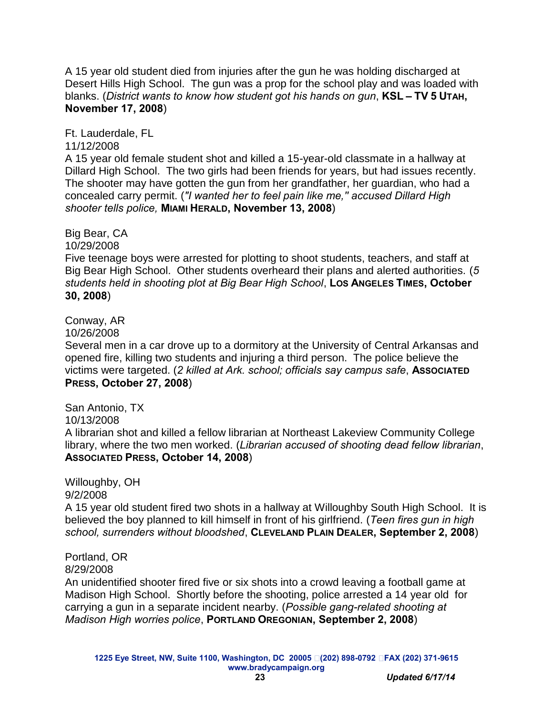A 15 year old student died from injuries after the gun he was holding discharged at Desert Hills High School. The gun was a prop for the school play and was loaded with blanks. (*District wants to know how student got his hands on gun*, **KSL – TV 5 UTAH, November 17, 2008**)

Ft. Lauderdale, FL

11/12/2008

A 15 year old female student shot and killed a 15-year-old classmate in a hallway at Dillard High School. The two girls had been friends for years, but had issues recently. The shooter may have gotten the gun from her grandfather, her guardian, who had a concealed carry permit. (*"I wanted her to feel pain like me,'' accused Dillard High shooter tells police,* **MIAMI HERALD, November 13, 2008**)

Big Bear, CA 10/29/2008

Five teenage boys were arrested for plotting to shoot students, teachers, and staff at Big Bear High School. Other students overheard their plans and alerted authorities. (*5 students held in shooting plot at Big Bear High School, Los ANGELES TIMES, October* **30, 2008**)

Conway, AR

10/26/2008

Several men in a car drove up to a dormitory at the University of Central Arkansas and opened fire, killing two students and injuring a third person. The police believe the victims were targeted. (*2 killed at Ark. school; officials say campus safe*, **ASSOCIATED PRESS, October 27, 2008**)

San Antonio, TX 10/13/2008 A librarian shot and killed a fellow librarian at Northeast Lakeview Community College library, where the two men worked. (*Librarian accused of shooting dead fellow librarian*, **ASSOCIATED PRESS, October 14, 2008**)

Willoughby, OH 9/2/2008

A 15 year old student fired two shots in a hallway at Willoughby South High School. It is believed the boy planned to kill himself in front of his girlfriend. (*Teen fires gun in high school, surrenders without bloodshed*, **CLEVELAND PLAIN DEALER, September 2, 2008**)

Portland, OR 8/29/2008

An unidentified shooter fired five or six shots into a crowd leaving a football game at Madison High School. Shortly before the shooting, police arrested a 14 year old for carrying a gun in a separate incident nearby. (*Possible gang-related shooting at Madison High worries police*, **PORTLAND OREGONIAN, September 2, 2008**)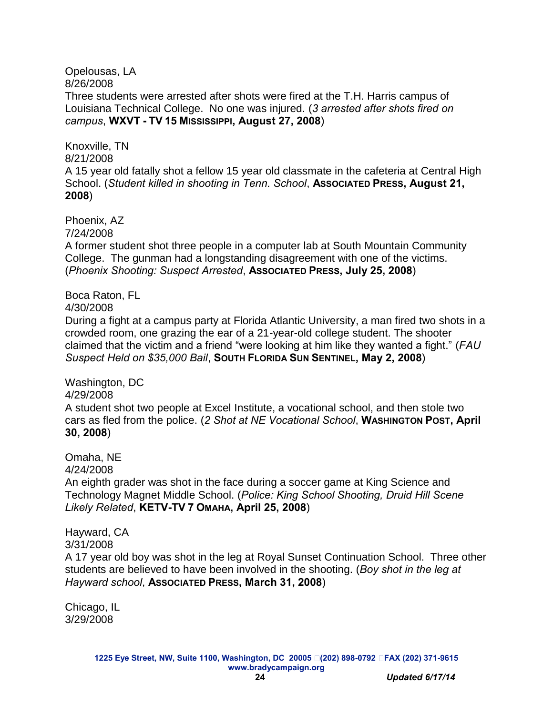Opelousas, LA 8/26/2008

Three students were arrested after shots were fired at the T.H. Harris campus of Louisiana Technical College. No one was injured. (*3 arrested after shots fired on campus*, **WXVT - TV 15 MISSISSIPPI, August 27, 2008**)

Knoxville, TN 8/21/2008 A 15 year old fatally shot a fellow 15 year old classmate in the cafeteria at Central High School. (*Student killed in shooting in Tenn. School*, **ASSOCIATED PRESS, August 21, 2008**)

Phoenix, AZ 7/24/2008

A former student shot three people in a computer lab at South Mountain Community College. The gunman had a longstanding disagreement with one of the victims. (*Phoenix Shooting: Suspect Arrested*, **ASSOCIATED PRESS, July 25, 2008**)

#### Boca Raton, FL

4/30/2008

During a fight at a campus party at Florida Atlantic University, a man fired two shots in a crowded room, one grazing the ear of a 21-year-old college student. The shooter claimed that the victim and a friend "were looking at him like they wanted a fight." (*FAU Suspect Held on \$35,000 Bail*, **SOUTH FLORIDA SUN SENTINEL, May 2, 2008**)

Washington, DC

4/29/2008

A student shot two people at Excel Institute, a vocational school, and then stole two cars as fled from the police. (*2 Shot at NE Vocational School*, **WASHINGTON POST, April 30, 2008**)

Omaha, NE

4/24/2008

An eighth grader was shot in the face during a soccer game at King Science and Technology Magnet Middle School. (*Police: King School Shooting, Druid Hill Scene Likely Related*, **KETV-TV 7 OMAHA, April 25, 2008**)

Hayward, CA 3/31/2008

A 17 year old boy was shot in the leg at Royal Sunset Continuation School. Three other students are believed to have been involved in the shooting. (*Boy shot in the leg at Hayward school*, **ASSOCIATED PRESS, March 31, 2008**)

Chicago, IL 3/29/2008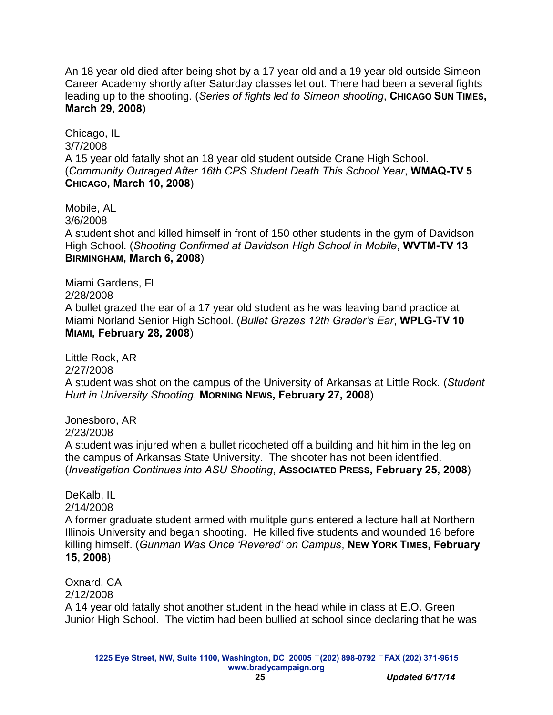An 18 year old died after being shot by a 17 year old and a 19 year old outside Simeon Career Academy shortly after Saturday classes let out. There had been a several fights leading up to the shooting. (*Series of fights led to Simeon shooting*, **CHICAGO SUN TIMES, March 29, 2008**)

Chicago, IL 3/7/2008 A 15 year old fatally shot an 18 year old student outside Crane High School. (*Community Outraged After 16th CPS Student Death This School Year*, **WMAQ-TV 5 CHICAGO, March 10, 2008**)

Mobile, AL 3/6/2008 A student shot and killed himself in front of 150 other students in the gym of Davidson High School. (*Shooting Confirmed at Davidson High School in Mobile*, **WVTM-TV 13 BIRMINGHAM, March 6, 2008**)

Miami Gardens, FL 2/28/2008 A bullet grazed the ear of a 17 year old student as he was leaving band practice at Miami Norland Senior High School. (*Bullet Grazes 12th Grader's Ear*, **WPLG-TV 10 MIAMI, February 28, 2008**)

Little Rock, AR 2/27/2008 A student was shot on the campus of the University of Arkansas at Little Rock. (*Student Hurt in University Shooting*, **MORNING NEWS, February 27, 2008**)

Jonesboro, AR 2/23/2008 A student was injured when a bullet ricocheted off a building and hit him in the leg on the campus of Arkansas State University. The shooter has not been identified. (*Investigation Continues into ASU Shooting*, **ASSOCIATED PRESS, February 25, 2008**)

DeKalb, IL 2/14/2008 A former graduate student armed with mulitple guns entered a lecture hall at Northern Illinois University and began shooting. He killed five students and wounded 16 before killing himself. (*Gunman Was Once 'Revered' on Campus*, **NEW YORK TIMES, February 15, 2008**)

Oxnard, CA 2/12/2008 A 14 year old fatally shot another student in the head while in class at E.O. Green Junior High School. The victim had been bullied at school since declaring that he was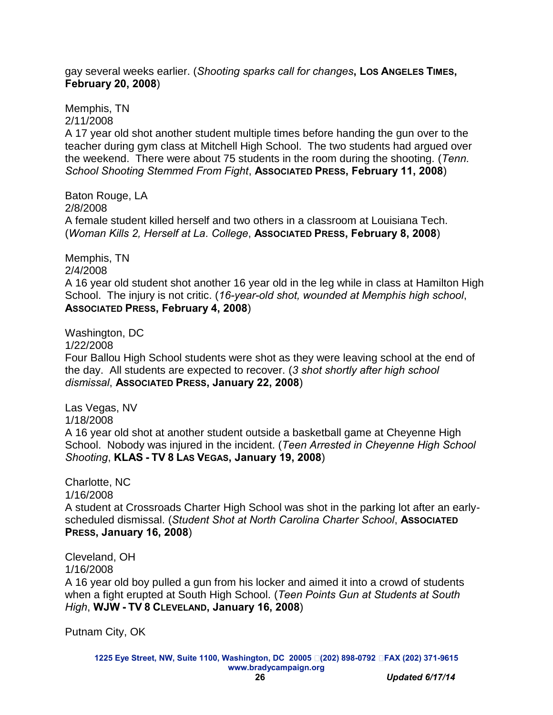gay several weeks earlier. (*Shooting sparks call for changes***, LOS ANGELES TIMES, February 20, 2008**)

Memphis, TN 2/11/2008

A 17 year old shot another student multiple times before handing the gun over to the teacher during gym class at Mitchell High School. The two students had argued over the weekend. There were about 75 students in the room during the shooting. (*Tenn. School Shooting Stemmed From Fight*, **ASSOCIATED PRESS, February 11, 2008**)

Baton Rouge, LA 2/8/2008 A female student killed herself and two others in a classroom at Louisiana Tech. (*Woman Kills 2, Herself at La. College*, **ASSOCIATED PRESS, February 8, 2008**)

Memphis, TN 2/4/2008 A 16 year old student shot another 16 year old in the leg while in class at Hamilton High School. The injury is not critic. (*16-year-old shot, wounded at Memphis high school*, **ASSOCIATED PRESS, February 4, 2008**)

Washington, DC 1/22/2008 Four Ballou High School students were shot as they were leaving school at the end of the day. All students are expected to recover. (*3 shot shortly after high school dismissal*, **ASSOCIATED PRESS, January 22, 2008**)

Las Vegas, NV 1/18/2008 A 16 year old shot at another student outside a basketball game at Cheyenne High School. Nobody was injured in the incident. (*Teen Arrested in Cheyenne High School Shooting*, **KLAS - TV 8 LAS VEGAS, January 19, 2008**)

Charlotte, NC 1/16/2008

A student at Crossroads Charter High School was shot in the parking lot after an earlyscheduled dismissal. (*Student Shot at North Carolina Charter School*, **ASSOCIATED PRESS, January 16, 2008**)

Cleveland, OH 1/16/2008

A 16 year old boy pulled a gun from his locker and aimed it into a crowd of students when a fight erupted at South High School. (*Teen Points Gun at Students at South High*, **WJW - TV 8 CLEVELAND, January 16, 2008**)

Putnam City, OK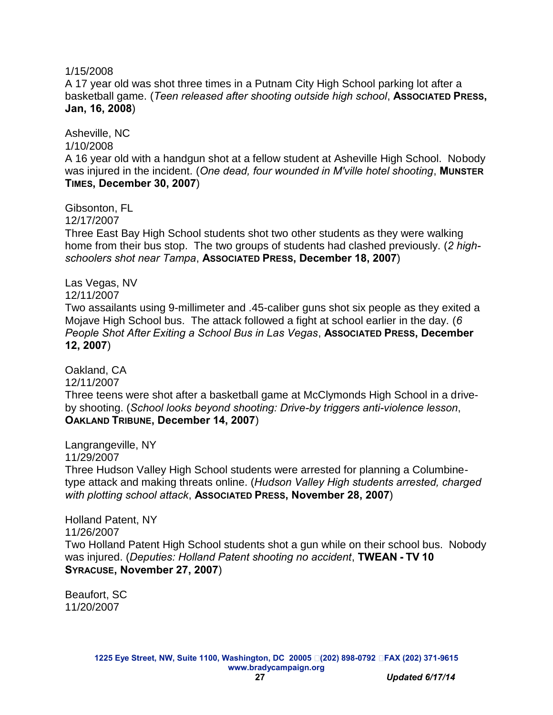#### 1/15/2008

A 17 year old was shot three times in a Putnam City High School parking lot after a basketball game. (*Teen released after shooting outside high school*, **ASSOCIATED PRESS, Jan, 16, 2008**)

Asheville, NC 1/10/2008 A 16 year old with a handgun shot at a fellow student at Asheville High School. Nobody was injured in the incident. (*One dead, four wounded in M'ville hotel shooting*, **MUNSTER TIMES, December 30, 2007**)

Gibsonton, FL

12/17/2007

Three East Bay High School students shot two other students as they were walking home from their bus stop. The two groups of students had clashed previously. (*2 highschoolers shot near Tampa*, **ASSOCIATED PRESS, December 18, 2007**)

Las Vegas, NV 12/11/2007 Two assailants using 9-millimeter and .45-caliber guns shot six people as they exited a Mojave High School bus. The attack followed a fight at school earlier in the day. (*6 People Shot After Exiting a School Bus in Las Vegas, Associated Press, December* **12, 2007**)

Oakland, CA 12/11/2007 Three teens were shot after a basketball game at McClymonds High School in a driveby shooting. (*School looks beyond shooting: Drive-by triggers anti-violence lesson*, **OAKLAND TRIBUNE, December 14, 2007**)

Langrangeville, NY 11/29/2007 Three Hudson Valley High School students were arrested for planning a Columbinetype attack and making threats online. (*Hudson Valley High students arrested, charged with plotting school attack*, **ASSOCIATED PRESS, November 28, 2007**)

Holland Patent, NY 11/26/2007 Two Holland Patent High School students shot a gun while on their school bus. Nobody was injured. (*Deputies: Holland Patent shooting no accident*, **TWEAN - TV 10 SYRACUSE, November 27, 2007**)

Beaufort, SC 11/20/2007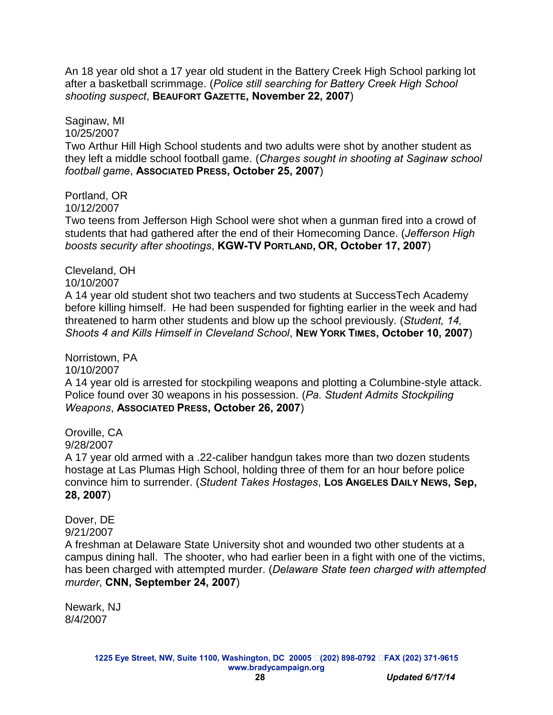An 18 year old shot a 17 year old student in the Battery Creek High School parking lot after a basketball scrimmage. (*Police still searching for Battery Creek High School shooting suspect*, **BEAUFORT GAZETTE, November 22, 2007**)

Saginaw, MI 10/25/2007 Two Arthur Hill High School students and two adults were shot by another student as they left a middle school football game. (*Charges sought in shooting at Saginaw school football game*, **ASSOCIATED PRESS, October 25, 2007**)

Portland, OR 10/12/2007 Two teens from Jefferson High School were shot when a gunman fired into a crowd of students that had gathered after the end of their Homecoming Dance. (*Jefferson High boosts security after shootings*, **KGW-TV PORTLAND, OR, October 17, 2007**)

10/10/2007 A 14 year old student shot two teachers and two students at SuccessTech Academy before killing himself. He had been suspended for fighting earlier in the week and had threatened to harm other students and blow up the school previously. (*Student, 14, Shoots 4 and Kills Himself in Cleveland School*, **NEW YORK TIMES, October 10, 2007**)

10/10/2007 A 14 year old is arrested for stockpiling weapons and plotting a Columbine-style attack. Police found over 30 weapons in his possession. (*Pa. Student Admits Stockpiling Weapons*, **ASSOCIATED PRESS, October 26, 2007**)

Oroville, CA 9/28/2007 A 17 year old armed with a .22-caliber handgun takes more than two dozen students hostage at Las Plumas High School, holding three of them for an hour before police convince him to surrender. (*Student Takes Hostages*, **LOS ANGELES DAILY NEWS, Sep, 28, 2007**)

Dover, DE 9/21/2007 A freshman at Delaware State University shot and wounded two other students at a campus dining hall. The shooter, who had earlier been in a fight with one of the victims, has been charged with attempted murder. (*Delaware State teen charged with attempted murder*, **CNN, September 24, 2007**)

Newark, NJ 8/4/2007

Cleveland, OH

Norristown, PA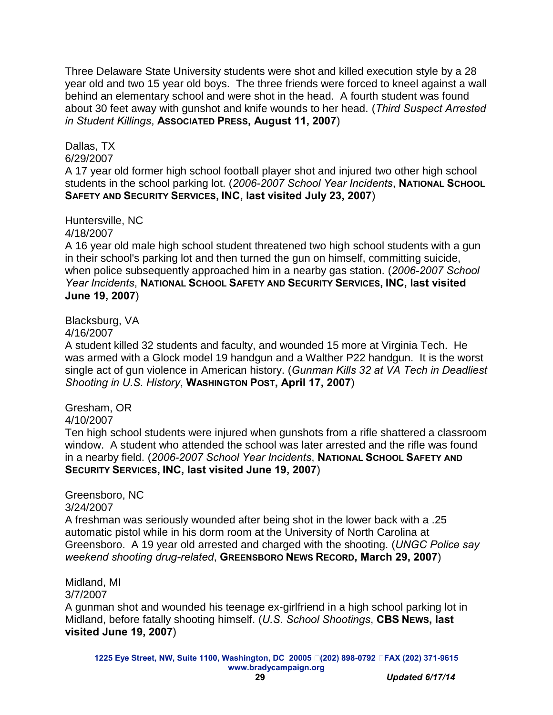Three Delaware State University students were shot and killed execution style by a 28 year old and two 15 year old boys. The three friends were forced to kneel against a wall behind an elementary school and were shot in the head. A fourth student was found about 30 feet away with gunshot and knife wounds to her head. (*Third Suspect Arrested in Student Killings*, **ASSOCIATED PRESS, August 11, 2007**)

### Dallas, TX

6/29/2007

A 17 year old former high school football player shot and injured two other high school students in the school parking lot. (*2006-2007 School Year Incidents*, **NATIONAL SCHOOL SAFETY AND SECURITY SERVICES, INC, last visited July 23, 2007**)

Huntersville, NC

4/18/2007

A 16 year old male high school student threatened two high school students with a gun in their school's parking lot and then turned the gun on himself, committing suicide, when police subsequently approached him in a nearby gas station. (*2006-2007 School Year Incidents*, **NATIONAL SCHOOL SAFETY AND SECURITY SERVICES, INC, last visited June 19, 2007**)

Blacksburg, VA

#### 4/16/2007

A student killed 32 students and faculty, and wounded 15 more at Virginia Tech. He was armed with a Glock model 19 handgun and a Walther P22 handgun. It is the worst single act of gun violence in American history. (*Gunman Kills 32 at VA Tech in Deadliest Shooting in U.S. History*, **WASHINGTON POST, April 17, 2007**)

Gresham, OR

4/10/2007

Ten high school students were injured when gunshots from a rifle shattered a classroom window. A student who attended the school was later arrested and the rifle was found in a nearby field. (*2006-2007 School Year Incidents*, **NATIONAL SCHOOL SAFETY AND SECURITY SERVICES, INC, last visited June 19, 2007**)

#### Greensboro, NC 3/24/2007

A freshman was seriously wounded after being shot in the lower back with a .25 automatic pistol while in his dorm room at the University of North Carolina at Greensboro. A 19 year old arrested and charged with the shooting. (*UNGC Police say weekend shooting drug-related*, **GREENSBORO NEWS RECORD, March 29, 2007**)

#### Midland, MI 3/7/2007

A gunman shot and wounded his teenage ex-girlfriend in a high school parking lot in Midland, before fatally shooting himself. (*U.S. School Shootings*, **CBS NEWS, last visited June 19, 2007**)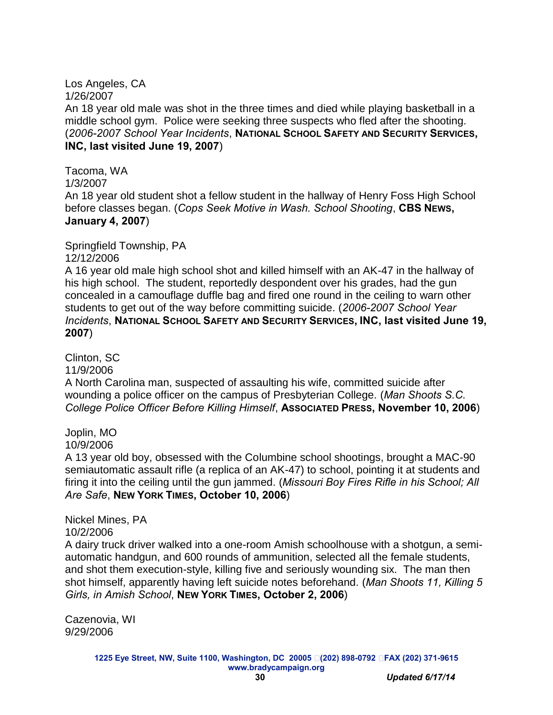#### Los Angeles, CA 1/26/2007

An 18 year old male was shot in the three times and died while playing basketball in a middle school gym. Police were seeking three suspects who fled after the shooting. (*2006-2007 School Year Incidents*, **NATIONAL SCHOOL SAFETY AND SECURITY SERVICES, INC, last visited June 19, 2007**)

Tacoma, WA 1/3/2007 An 18 year old student shot a fellow student in the hallway of Henry Foss High School before classes began. (*Cops Seek Motive in Wash. School Shooting*, **CBS NEWS, January 4, 2007**)

Springfield Township, PA

12/12/2006

A 16 year old male high school shot and killed himself with an AK-47 in the hallway of his high school. The student, reportedly despondent over his grades, had the gun concealed in a camouflage duffle bag and fired one round in the ceiling to warn other students to get out of the way before committing suicide. (*2006-2007 School Year Incidents*, **NATIONAL SCHOOL SAFETY AND SECURITY SERVICES, INC, last visited June 19, 2007**)

Clinton, SC

11/9/2006

A North Carolina man, suspected of assaulting his wife, committed suicide after wounding a police officer on the campus of Presbyterian College. (*Man Shoots S.C. College Police Officer Before Killing Himself*, **ASSOCIATED PRESS, November 10, 2006**)

Joplin, MO 10/9/2006

A 13 year old boy, obsessed with the Columbine school shootings, brought a MAC-90 semiautomatic assault rifle (a replica of an AK-47) to school, pointing it at students and firing it into the ceiling until the gun jammed. (*Missouri Boy Fires Rifle in his School; All Are Safe*, **NEW YORK TIMES, October 10, 2006**)

Nickel Mines, PA 10/2/2006

A dairy truck driver walked into a one-room Amish schoolhouse with a shotgun, a semiautomatic handgun, and 600 rounds of ammunition, selected all the female students, and shot them execution-style, killing five and seriously wounding six. The man then shot himself, apparently having left suicide notes beforehand. (*Man Shoots 11, Killing 5 Girls, in Amish School*, **NEW YORK TIMES, October 2, 2006**)

Cazenovia, WI 9/29/2006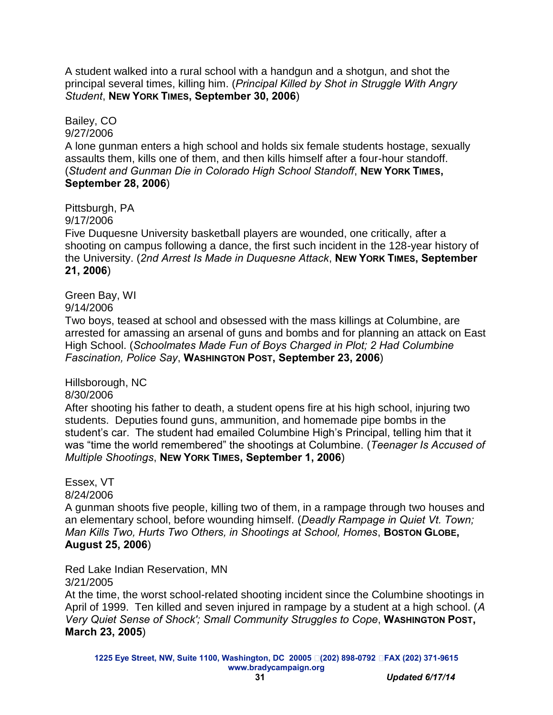A student walked into a rural school with a handgun and a shotgun, and shot the principal several times, killing him. (*Principal Killed by Shot in Struggle With Angry Student*, **NEW YORK TIMES, September 30, 2006**)

Bailey, CO 9/27/2006 A lone gunman enters a high school and holds six female students hostage, sexually assaults them, kills one of them, and then kills himself after a four-hour standoff. (*Student and Gunman Die in Colorado High School Standoff*, **NEW YORK TIMES, September 28, 2006**)

Pittsburgh, PA

9/17/2006

Five Duquesne University basketball players are wounded, one critically, after a shooting on campus following a dance, the first such incident in the 128-year history of the University. (*2nd Arrest Is Made in Duquesne Attack*, **NEW YORK TIMES, September 21, 2006**)

Green Bay, WI

9/14/2006

Two boys, teased at school and obsessed with the mass killings at Columbine, are arrested for amassing an arsenal of guns and bombs and for planning an attack on East High School. (*Schoolmates Made Fun of Boys Charged in Plot; 2 Had Columbine Fascination, Police Say*, **WASHINGTON POST, September 23, 2006**)

Hillsborough, NC 8/30/2006

After shooting his father to death, a student opens fire at his high school, injuring two students. Deputies found guns, ammunition, and homemade pipe bombs in the student's car. The student had emailed Columbine High's Principal, telling him that it was "time the world remembered" the shootings at Columbine. (*Teenager Is Accused of Multiple Shootings*, **NEW YORK TIMES, September 1, 2006**)

Essex, VT 8/24/2006

A gunman shoots five people, killing two of them, in a rampage through two houses and an elementary school, before wounding himself. (*Deadly Rampage in Quiet Vt. Town; Man Kills Two, Hurts Two Others, in Shootings at School, Homes*, **BOSTON GLOBE, August 25, 2006**)

Red Lake Indian Reservation, MN 3/21/2005

At the time, the worst school-related shooting incident since the Columbine shootings in April of 1999. Ten killed and seven injured in rampage by a student at a high school. (*A Very Quiet Sense of Shock'; Small Community Struggles to Cope*, **WASHINGTON POST, March 23, 2005**)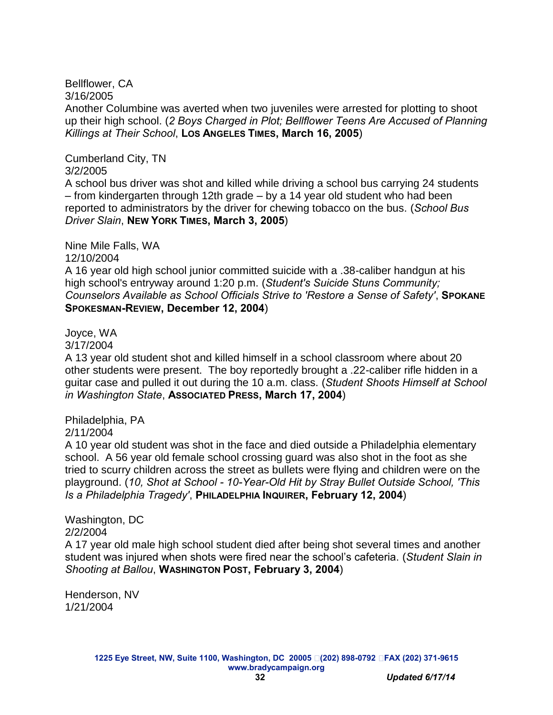Bellflower, CA 3/16/2005

Another Columbine was averted when two juveniles were arrested for plotting to shoot up their high school. (*2 Boys Charged in Plot; Bellflower Teens Are Accused of Planning Killings at Their School*, **LOS ANGELES TIMES, March 16, 2005**)

Cumberland City, TN 3/2/2005

A school bus driver was shot and killed while driving a school bus carrying 24 students – from kindergarten through 12th grade – by a 14 year old student who had been reported to administrators by the driver for chewing tobacco on the bus. (*School Bus Driver Slain*, **NEW YORK TIMES, March 3, 2005**)

Nine Mile Falls, WA

12/10/2004

A 16 year old high school junior committed suicide with a .38-caliber handgun at his high school's entryway around 1:20 p.m. (*Student's Suicide Stuns Community; Counselors Available as School Officials Strive to 'Restore a Sense of Safety'*, **SPOKANE SPOKESMAN-REVIEW, December 12, 2004**)

Joyce, WA

3/17/2004

A 13 year old student shot and killed himself in a school classroom where about 20 other students were present. The boy reportedly brought a .22-caliber rifle hidden in a guitar case and pulled it out during the 10 a.m. class. (*Student Shoots Himself at School in Washington State*, **ASSOCIATED PRESS, March 17, 2004**)

Philadelphia, PA 2/11/2004

A 10 year old student was shot in the face and died outside a Philadelphia elementary school. A 56 year old female school crossing guard was also shot in the foot as she tried to scurry children across the street as bullets were flying and children were on the playground. (*10, Shot at School - 10-Year-Old Hit by Stray Bullet Outside School, 'This Is a Philadelphia Tragedy'*, **PHILADELPHIA INQUIRER, February 12, 2004**)

Washington, DC 2/2/2004 A 17 year old male high school student died after being shot several times and another student was injured when shots were fired near the school's cafeteria. (*Student Slain in Shooting at Ballou*, **WASHINGTON POST, February 3, 2004**)

Henderson, NV 1/21/2004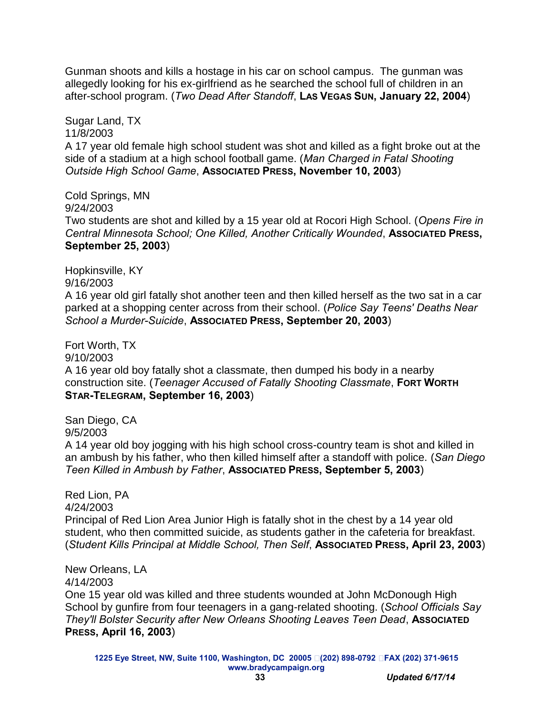Gunman shoots and kills a hostage in his car on school campus. The gunman was allegedly looking for his ex-girlfriend as he searched the school full of children in an after-school program. (*Two Dead After Standoff*, **LAS VEGAS SUN, January 22, 2004**)

Sugar Land, TX 11/8/2003 A 17 year old female high school student was shot and killed as a fight broke out at the side of a stadium at a high school football game. (*Man Charged in Fatal Shooting Outside High School Game*, **ASSOCIATED PRESS, November 10, 2003**)

Cold Springs, MN 9/24/2003 Two students are shot and killed by a 15 year old at Rocori High School. (*Opens Fire in Central Minnesota School; One Killed, Another Critically Wounded*, **ASSOCIATED PRESS, September 25, 2003**)

Hopkinsville, KY 9/16/2003 A 16 year old girl fatally shot another teen and then killed herself as the two sat in a car parked at a shopping center across from their school. (*Police Say Teens' Deaths Near School a Murder-Suicide*, **ASSOCIATED PRESS, September 20, 2003**)

Fort Worth, TX 9/10/2003 A 16 year old boy fatally shot a classmate, then dumped his body in a nearby construction site. (*Teenager Accused of Fatally Shooting Classmate*, **FORT WORTH STAR-TELEGRAM, September 16, 2003**)

San Diego, CA 9/5/2003 A 14 year old boy jogging with his high school cross-country team is shot and killed in an ambush by his father, who then killed himself after a standoff with police. (*San Diego Teen Killed in Ambush by Father*, **ASSOCIATED PRESS, September 5, 2003**)

Red Lion, PA 4/24/2003 Principal of Red Lion Area Junior High is fatally shot in the chest by a 14 year old student, who then committed suicide, as students gather in the cafeteria for breakfast. (*Student Kills Principal at Middle School, Then Self*, **ASSOCIATED PRESS, April 23, 2003**)

4/14/2003 One 15 year old was killed and three students wounded at John McDonough High School by gunfire from four teenagers in a gang-related shooting. (*School Officials Say They'll Bolster Security after New Orleans Shooting Leaves Teen Dead*, **ASSOCIATED PRESS, April 16, 2003**)

New Orleans, LA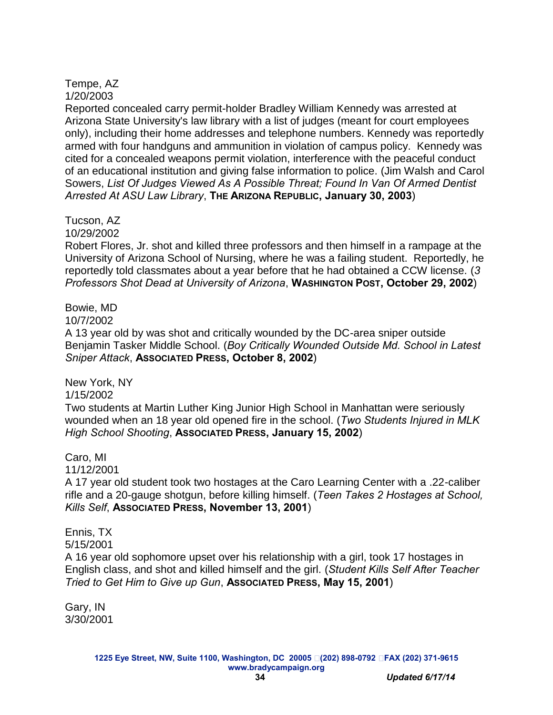#### Tempe, AZ 1/20/2003

Reported concealed carry permit-holder Bradley William Kennedy was arrested at Arizona State University's law library with a list of judges (meant for court employees only), including their home addresses and telephone numbers. Kennedy was reportedly armed with four handguns and ammunition in violation of campus policy. Kennedy was cited for a concealed weapons permit violation, interference with the peaceful conduct of an educational institution and giving false information to police. (Jim Walsh and Carol Sowers, *List Of Judges Viewed As A Possible Threat; Found In Van Of Armed Dentist Arrested At ASU Law Library*, **THE ARIZONA REPUBLIC, January 30, 2003**)

### Tucson, AZ

10/29/2002

Robert Flores, Jr. shot and killed three professors and then himself in a rampage at the University of Arizona School of Nursing, where he was a failing student. Reportedly, he reportedly told classmates about a year before that he had obtained a CCW license. (*3 Professors Shot Dead at University of Arizona*, **WASHINGTON POST, October 29, 2002**)

### Bowie, MD

10/7/2002

A 13 year old by was shot and critically wounded by the DC-area sniper outside Benjamin Tasker Middle School. (*Boy Critically Wounded Outside Md. School in Latest Sniper Attack*, **ASSOCIATED PRESS, October 8, 2002**)

New York, NY

1/15/2002

Two students at Martin Luther King Junior High School in Manhattan were seriously wounded when an 18 year old opened fire in the school. (*Two Students Injured in MLK High School Shooting*, **ASSOCIATED PRESS, January 15, 2002**)

### Caro, MI

11/12/2001

A 17 year old student took two hostages at the Caro Learning Center with a .22-caliber rifle and a 20-gauge shotgun, before killing himself. (*Teen Takes 2 Hostages at School, Kills Self*, **ASSOCIATED PRESS, November 13, 2001**)

### Ennis, TX

5/15/2001

A 16 year old sophomore upset over his relationship with a girl, took 17 hostages in English class, and shot and killed himself and the girl. (*Student Kills Self After Teacher Tried to Get Him to Give up Gun*, **ASSOCIATED PRESS, May 15, 2001**)

Gary, IN 3/30/2001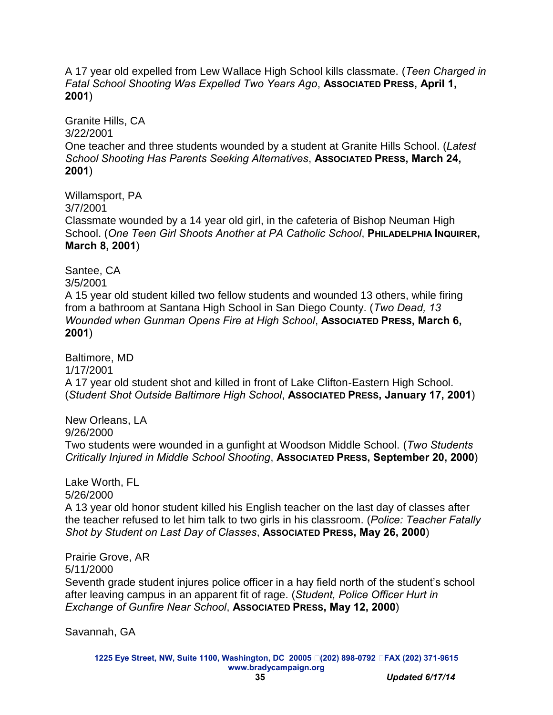A 17 year old expelled from Lew Wallace High School kills classmate. (*Teen Charged in*  **Fatal School Shooting Was Expelled Two Years Ago, Associated Press, April 1, 2001**)

Granite Hills, CA 3/22/2001 One teacher and three students wounded by a student at Granite Hills School. (*Latest School Shooting Has Parents Seeking Alternatives*, **ASSOCIATED PRESS, March 24, 2001**)

Willamsport, PA 3/7/2001 Classmate wounded by a 14 year old girl, in the cafeteria of Bishop Neuman High School. (*One Teen Girl Shoots Another at PA Catholic School*, **PHILADELPHIA INQUIRER, March 8, 2001**)

Santee, CA 3/5/2001 A 15 year old student killed two fellow students and wounded 13 others, while firing from a bathroom at Santana High School in San Diego County. (*Two Dead, 13 Wounded when Gunman Opens Fire at High School, Associated Press, March 6,* **2001**)

Baltimore, MD 1/17/2001 A 17 year old student shot and killed in front of Lake Clifton-Eastern High School. (*Student Shot Outside Baltimore High School*, **ASSOCIATED PRESS, January 17, 2001**)

New Orleans, LA 9/26/2000 Two students were wounded in a gunfight at Woodson Middle School. (*Two Students Critically Injured in Middle School Shooting*, **ASSOCIATED PRESS, September 20, 2000**)

Lake Worth, FL 5/26/2000

A 13 year old honor student killed his English teacher on the last day of classes after the teacher refused to let him talk to two girls in his classroom. (*Police: Teacher Fatally Shot by Student on Last Day of Classes*, **ASSOCIATED PRESS, May 26, 2000**)

Prairie Grove, AR 5/11/2000 Seventh grade student injures police officer in a hay field north of the student's school after leaving campus in an apparent fit of rage. (*Student, Police Officer Hurt in Exchange of Gunfire Near School*, **ASSOCIATED PRESS, May 12, 2000**)

Savannah, GA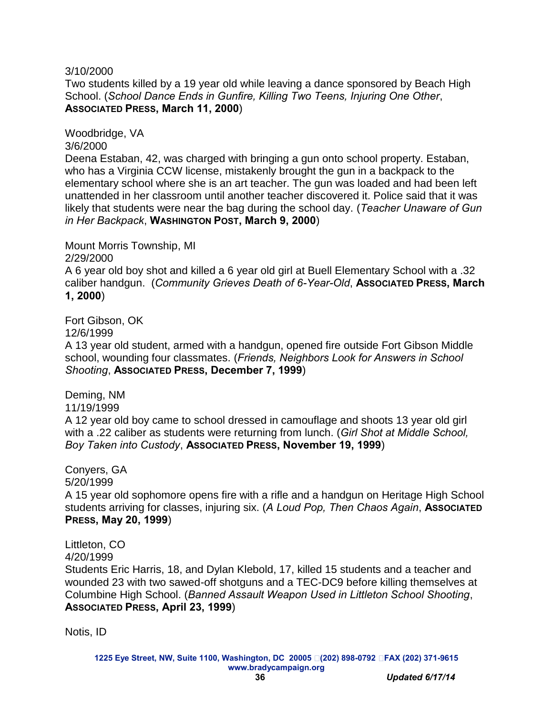3/10/2000

Two students killed by a 19 year old while leaving a dance sponsored by Beach High School. (*School Dance Ends in Gunfire, Killing Two Teens, Injuring One Other*, **ASSOCIATED PRESS, March 11, 2000**)

Woodbridge, VA

3/6/2000

Deena Estaban, 42, was charged with bringing a gun onto school property. Estaban, who has a Virginia CCW license, mistakenly brought the gun in a backpack to the elementary school where she is an art teacher. The gun was loaded and had been left unattended in her classroom until another teacher discovered it. Police said that it was likely that students were near the bag during the school day. (*Teacher Unaware of Gun in Her Backpack*, **WASHINGTON POST, March 9, 2000**)

Mount Morris Township, MI

2/29/2000

A 6 year old boy shot and killed a 6 year old girl at Buell Elementary School with a .32 caliber handgun. (*Community Grieves Death of 6-Year-Old*, **ASSOCIATED PRESS, March 1, 2000**)

Fort Gibson, OK

12/6/1999

A 13 year old student, armed with a handgun, opened fire outside Fort Gibson Middle school, wounding four classmates. (*Friends, Neighbors Look for Answers in School Shooting*, **ASSOCIATED PRESS, December 7, 1999**)

Deming, NM

11/19/1999

A 12 year old boy came to school dressed in camouflage and shoots 13 year old girl with a .22 caliber as students were returning from lunch. (*Girl Shot at Middle School, Boy Taken into Custody*, **ASSOCIATED PRESS, November 19, 1999**)

Conyers, GA 5/20/1999

A 15 year old sophomore opens fire with a rifle and a handgun on Heritage High School students arriving for classes, injuring six. (*A Loud Pop, Then Chaos Again*, **ASSOCIATED PRESS, May 20, 1999**)

Littleton, CO

4/20/1999

Students Eric Harris, 18, and Dylan Klebold, 17, killed 15 students and a teacher and wounded 23 with two sawed-off shotguns and a TEC-DC9 before killing themselves at Columbine High School. (*Banned Assault Weapon Used in Littleton School Shooting*, **ASSOCIATED PRESS, April 23, 1999**)

Notis, ID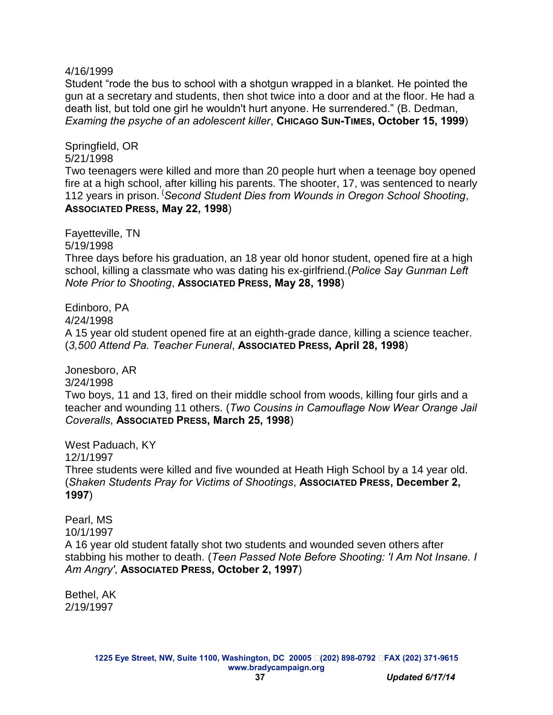#### 4/16/1999

Student "rode the bus to school with a shotgun wrapped in a blanket. He pointed the gun at a secretary and students, then shot twice into a door and at the floor. He had a death list, but told one girl he wouldn't hurt anyone. He surrendered." (B. Dedman, *Examing the psyche of an adolescent killer*, **CHICAGO SUN-TIMES, October 15, 1999**)

Springfield, OR 5/21/1998

Two teenagers were killed and more than 20 people hurt when a teenage boy opened fire at a high school, after killing his parents. The shooter, 17, was sentenced to nearly 112 years in prison. (*Second Student Dies from Wounds in Oregon School Shooting*, **ASSOCIATED PRESS, May 22, 1998**)

Fayetteville, TN 5/19/1998

Three days before his graduation, an 18 year old honor student, opened fire at a high school, killing a classmate who was dating his ex-girlfriend.(*Police Say Gunman Left Note Prior to Shooting*, **ASSOCIATED PRESS, May 28, 1998**)

Edinboro, PA

4/24/1998

A 15 year old student opened fire at an eighth-grade dance, killing a science teacher. (*3,500 Attend Pa. Teacher Funeral*, **ASSOCIATED PRESS, April 28, 1998**)

Jonesboro, AR

3/24/1998

Two boys, 11 and 13, fired on their middle school from woods, killing four girls and a teacher and wounding 11 others. (*Two Cousins in Camouflage Now Wear Orange Jail Coveralls*, **ASSOCIATED PRESS, March 25, 1998**)

West Paduach, KY 12/1/1997 Three students were killed and five wounded at Heath High School by a 14 year old. (*Shaken Students Pray for Victims of Shootings*, **ASSOCIATED PRESS, December 2, 1997**)

Pearl, MS 10/1/1997 A 16 year old student fatally shot two students and wounded seven others after stabbing his mother to death. (*Teen Passed Note Before Shooting: 'I Am Not Insane. I Am Angry'*, **ASSOCIATED PRESS, October 2, 1997**)

Bethel, AK 2/19/1997